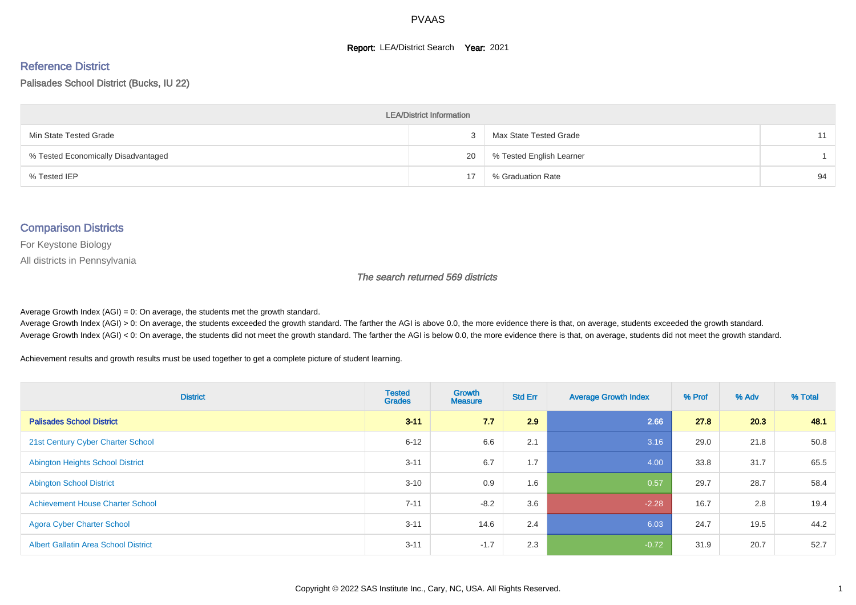#### **Report: LEA/District Search Year: 2021**

#### Reference District

#### Palisades School District (Bucks, IU 22)

| <b>LEA/District Information</b>     |    |                          |    |  |  |  |  |  |  |
|-------------------------------------|----|--------------------------|----|--|--|--|--|--|--|
| Min State Tested Grade              | 3  | Max State Tested Grade   |    |  |  |  |  |  |  |
| % Tested Economically Disadvantaged | 20 | % Tested English Learner |    |  |  |  |  |  |  |
| % Tested IEP                        | 17 | % Graduation Rate        | 94 |  |  |  |  |  |  |

#### Comparison Districts

For Keystone Biology

All districts in Pennsylvania

The search returned 569 districts

Average Growth Index  $(AGI) = 0$ : On average, the students met the growth standard.

Average Growth Index (AGI) > 0: On average, the students exceeded the growth standard. The farther the AGI is above 0.0, the more evidence there is that, on average, students exceeded the growth standard. Average Growth Index (AGI) < 0: On average, the students did not meet the growth standard. The farther the AGI is below 0.0, the more evidence there is that, on average, students did not meet the growth standard.

Achievement results and growth results must be used together to get a complete picture of student learning.

| <b>District</b>                             | <b>Tested</b><br><b>Grades</b> | <b>Growth</b><br><b>Measure</b> | <b>Std Err</b> | <b>Average Growth Index</b> | % Prof | % Adv | % Total |
|---------------------------------------------|--------------------------------|---------------------------------|----------------|-----------------------------|--------|-------|---------|
| <b>Palisades School District</b>            | $3 - 11$                       | 7.7                             | 2.9            | 2.66                        | 27.8   | 20.3  | 48.1    |
| 21st Century Cyber Charter School           | $6 - 12$                       | 6.6                             | 2.1            | 3.16                        | 29.0   | 21.8  | 50.8    |
| <b>Abington Heights School District</b>     | $3 - 11$                       | 6.7                             | 1.7            | 4.00                        | 33.8   | 31.7  | 65.5    |
| <b>Abington School District</b>             | $3 - 10$                       | 0.9                             | 1.6            | 0.57                        | 29.7   | 28.7  | 58.4    |
| <b>Achievement House Charter School</b>     | $7 - 11$                       | $-8.2$                          | 3.6            | $-2.28$                     | 16.7   | 2.8   | 19.4    |
| <b>Agora Cyber Charter School</b>           | $3 - 11$                       | 14.6                            | 2.4            | 6.03                        | 24.7   | 19.5  | 44.2    |
| <b>Albert Gallatin Area School District</b> | $3 - 11$                       | $-1.7$                          | 2.3            | $-0.72$                     | 31.9   | 20.7  | 52.7    |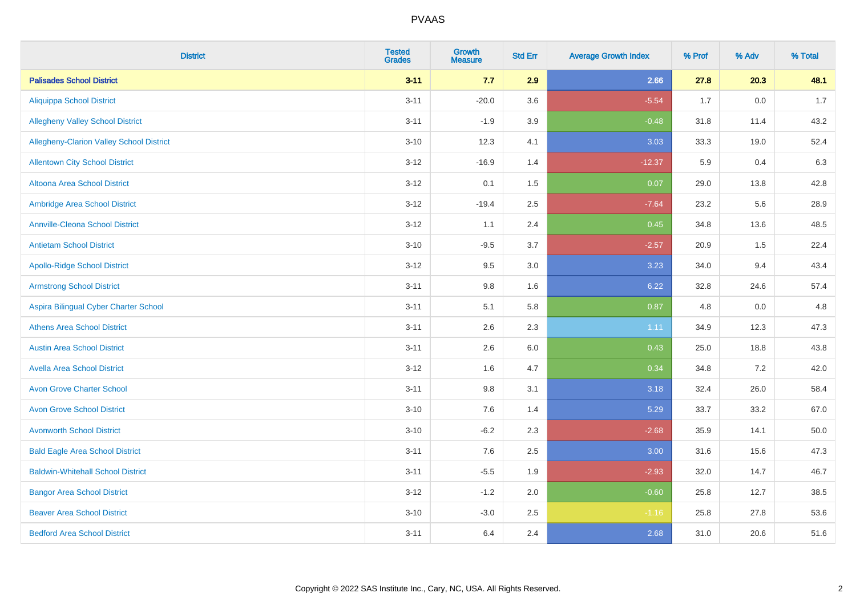| <b>District</b>                          | <b>Tested</b><br><b>Grades</b> | <b>Growth</b><br><b>Measure</b> | <b>Std Err</b> | <b>Average Growth Index</b> | % Prof | % Adv | % Total |
|------------------------------------------|--------------------------------|---------------------------------|----------------|-----------------------------|--------|-------|---------|
| <b>Palisades School District</b>         | $3 - 11$                       | 7.7                             | 2.9            | 2.66                        | 27.8   | 20.3  | 48.1    |
| <b>Aliquippa School District</b>         | $3 - 11$                       | $-20.0$                         | 3.6            | $-5.54$                     | 1.7    | 0.0   | 1.7     |
| <b>Allegheny Valley School District</b>  | $3 - 11$                       | $-1.9$                          | 3.9            | $-0.48$                     | 31.8   | 11.4  | 43.2    |
| Allegheny-Clarion Valley School District | $3 - 10$                       | 12.3                            | 4.1            | 3.03                        | 33.3   | 19.0  | 52.4    |
| <b>Allentown City School District</b>    | $3-12$                         | $-16.9$                         | 1.4            | $-12.37$                    | 5.9    | 0.4   | 6.3     |
| Altoona Area School District             | $3 - 12$                       | 0.1                             | 1.5            | 0.07                        | 29.0   | 13.8  | 42.8    |
| Ambridge Area School District            | $3 - 12$                       | $-19.4$                         | 2.5            | $-7.64$                     | 23.2   | 5.6   | 28.9    |
| <b>Annville-Cleona School District</b>   | $3-12$                         | 1.1                             | 2.4            | 0.45                        | 34.8   | 13.6  | 48.5    |
| <b>Antietam School District</b>          | $3 - 10$                       | $-9.5$                          | 3.7            | $-2.57$                     | 20.9   | 1.5   | 22.4    |
| <b>Apollo-Ridge School District</b>      | $3 - 12$                       | 9.5                             | 3.0            | 3.23                        | 34.0   | 9.4   | 43.4    |
| <b>Armstrong School District</b>         | $3 - 11$                       | $9.8\,$                         | 1.6            | 6.22                        | 32.8   | 24.6  | 57.4    |
| Aspira Bilingual Cyber Charter School    | $3 - 11$                       | 5.1                             | 5.8            | 0.87                        | 4.8    | 0.0   | 4.8     |
| <b>Athens Area School District</b>       | $3 - 11$                       | 2.6                             | 2.3            | 1.11                        | 34.9   | 12.3  | 47.3    |
| <b>Austin Area School District</b>       | $3 - 11$                       | 2.6                             | $6.0\,$        | 0.43                        | 25.0   | 18.8  | 43.8    |
| <b>Avella Area School District</b>       | $3 - 12$                       | 1.6                             | 4.7            | 0.34                        | 34.8   | 7.2   | 42.0    |
| <b>Avon Grove Charter School</b>         | $3 - 11$                       | $9.8\,$                         | 3.1            | 3.18                        | 32.4   | 26.0  | 58.4    |
| <b>Avon Grove School District</b>        | $3 - 10$                       | 7.6                             | 1.4            | 5.29                        | 33.7   | 33.2  | 67.0    |
| <b>Avonworth School District</b>         | $3 - 10$                       | $-6.2$                          | 2.3            | $-2.68$                     | 35.9   | 14.1  | 50.0    |
| <b>Bald Eagle Area School District</b>   | $3 - 11$                       | 7.6                             | 2.5            | 3.00                        | 31.6   | 15.6  | 47.3    |
| <b>Baldwin-Whitehall School District</b> | $3 - 11$                       | $-5.5$                          | 1.9            | $-2.93$                     | 32.0   | 14.7  | 46.7    |
| <b>Bangor Area School District</b>       | $3 - 12$                       | $-1.2$                          | 2.0            | $-0.60$                     | 25.8   | 12.7  | 38.5    |
| <b>Beaver Area School District</b>       | $3 - 10$                       | $-3.0$                          | 2.5            | $-1.16$                     | 25.8   | 27.8  | 53.6    |
| <b>Bedford Area School District</b>      | $3 - 11$                       | 6.4                             | 2.4            | 2.68                        | 31.0   | 20.6  | 51.6    |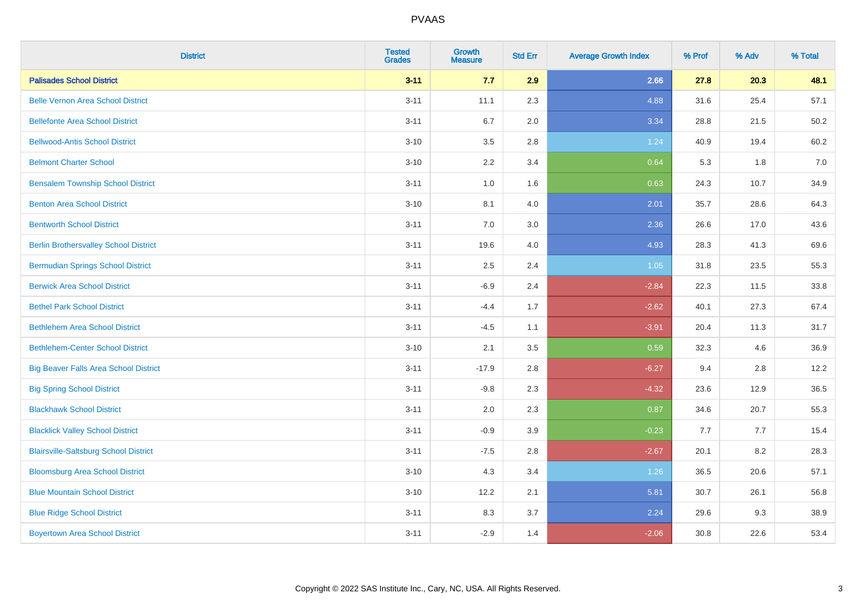| <b>District</b>                              | <b>Tested</b><br><b>Grades</b> | <b>Growth</b><br><b>Measure</b> | <b>Std Err</b> | <b>Average Growth Index</b> | % Prof | % Adv | % Total |
|----------------------------------------------|--------------------------------|---------------------------------|----------------|-----------------------------|--------|-------|---------|
| <b>Palisades School District</b>             | $3 - 11$                       | 7.7                             | 2.9            | 2.66                        | 27.8   | 20.3  | 48.1    |
| <b>Belle Vernon Area School District</b>     | $3 - 11$                       | 11.1                            | 2.3            | 4.88                        | 31.6   | 25.4  | 57.1    |
| <b>Bellefonte Area School District</b>       | $3 - 11$                       | 6.7                             | 2.0            | 3.34                        | 28.8   | 21.5  | 50.2    |
| <b>Bellwood-Antis School District</b>        | $3 - 10$                       | 3.5                             | 2.8            | 1.24                        | 40.9   | 19.4  | 60.2    |
| <b>Belmont Charter School</b>                | $3 - 10$                       | 2.2                             | 3.4            | 0.64                        | 5.3    | 1.8   | 7.0     |
| <b>Bensalem Township School District</b>     | $3 - 11$                       | $1.0\,$                         | 1.6            | 0.63                        | 24.3   | 10.7  | 34.9    |
| <b>Benton Area School District</b>           | $3 - 10$                       | 8.1                             | 4.0            | 2.01                        | 35.7   | 28.6  | 64.3    |
| <b>Bentworth School District</b>             | $3 - 11$                       | 7.0                             | 3.0            | 2.36                        | 26.6   | 17.0  | 43.6    |
| <b>Berlin Brothersvalley School District</b> | $3 - 11$                       | 19.6                            | 4.0            | 4.93                        | 28.3   | 41.3  | 69.6    |
| <b>Bermudian Springs School District</b>     | $3 - 11$                       | 2.5                             | 2.4            | 1.05                        | 31.8   | 23.5  | 55.3    |
| <b>Berwick Area School District</b>          | $3 - 11$                       | $-6.9$                          | 2.4            | $-2.84$                     | 22.3   | 11.5  | 33.8    |
| <b>Bethel Park School District</b>           | $3 - 11$                       | $-4.4$                          | 1.7            | $-2.62$                     | 40.1   | 27.3  | 67.4    |
| <b>Bethlehem Area School District</b>        | $3 - 11$                       | $-4.5$                          | 1.1            | $-3.91$                     | 20.4   | 11.3  | 31.7    |
| <b>Bethlehem-Center School District</b>      | $3 - 10$                       | 2.1                             | 3.5            | 0.59                        | 32.3   | 4.6   | 36.9    |
| <b>Big Beaver Falls Area School District</b> | $3 - 11$                       | $-17.9$                         | 2.8            | $-6.27$                     | 9.4    | 2.8   | 12.2    |
| <b>Big Spring School District</b>            | $3 - 11$                       | $-9.8$                          | 2.3            | $-4.32$                     | 23.6   | 12.9  | 36.5    |
| <b>Blackhawk School District</b>             | $3 - 11$                       | 2.0                             | 2.3            | 0.87                        | 34.6   | 20.7  | 55.3    |
| <b>Blacklick Valley School District</b>      | $3 - 11$                       | $-0.9$                          | 3.9            | $-0.23$                     | 7.7    | 7.7   | 15.4    |
| <b>Blairsville-Saltsburg School District</b> | $3 - 11$                       | $-7.5$                          | 2.8            | $-2.67$                     | 20.1   | 8.2   | 28.3    |
| <b>Bloomsburg Area School District</b>       | $3 - 10$                       | 4.3                             | 3.4            | 1.26                        | 36.5   | 20.6  | 57.1    |
| <b>Blue Mountain School District</b>         | $3 - 10$                       | 12.2                            | 2.1            | 5.81                        | 30.7   | 26.1  | 56.8    |
| <b>Blue Ridge School District</b>            | $3 - 11$                       | 8.3                             | 3.7            | 2.24                        | 29.6   | 9.3   | 38.9    |
| <b>Boyertown Area School District</b>        | $3 - 11$                       | $-2.9$                          | 1.4            | $-2.06$                     | 30.8   | 22.6  | 53.4    |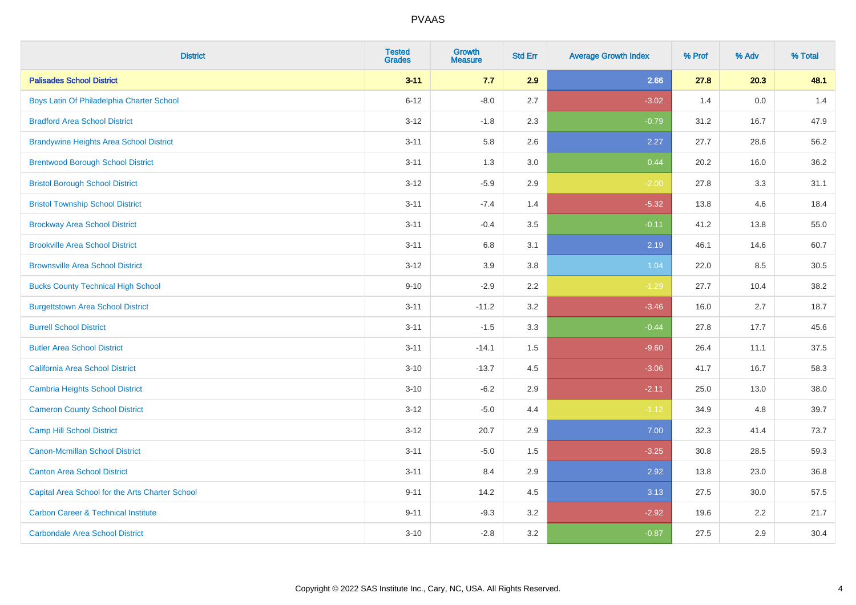| <b>District</b>                                 | <b>Tested</b><br><b>Grades</b> | <b>Growth</b><br><b>Measure</b> | <b>Std Err</b> | <b>Average Growth Index</b> | % Prof | % Adv   | % Total |
|-------------------------------------------------|--------------------------------|---------------------------------|----------------|-----------------------------|--------|---------|---------|
| <b>Palisades School District</b>                | $3 - 11$                       | 7.7                             | 2.9            | 2.66                        | 27.8   | 20.3    | 48.1    |
| Boys Latin Of Philadelphia Charter School       | $6 - 12$                       | $-8.0$                          | 2.7            | $-3.02$                     | 1.4    | $0.0\,$ | 1.4     |
| <b>Bradford Area School District</b>            | $3 - 12$                       | $-1.8$                          | 2.3            | $-0.79$                     | 31.2   | 16.7    | 47.9    |
| <b>Brandywine Heights Area School District</b>  | $3 - 11$                       | 5.8                             | 2.6            | 2.27                        | 27.7   | 28.6    | 56.2    |
| <b>Brentwood Borough School District</b>        | $3 - 11$                       | 1.3                             | 3.0            | 0.44                        | 20.2   | 16.0    | 36.2    |
| <b>Bristol Borough School District</b>          | $3 - 12$                       | $-5.9$                          | 2.9            | $-2.00$                     | 27.8   | 3.3     | 31.1    |
| <b>Bristol Township School District</b>         | $3 - 11$                       | $-7.4$                          | 1.4            | $-5.32$                     | 13.8   | 4.6     | 18.4    |
| <b>Brockway Area School District</b>            | $3 - 11$                       | $-0.4$                          | 3.5            | $-0.11$                     | 41.2   | 13.8    | 55.0    |
| <b>Brookville Area School District</b>          | $3 - 11$                       | 6.8                             | 3.1            | 2.19                        | 46.1   | 14.6    | 60.7    |
| <b>Brownsville Area School District</b>         | $3 - 12$                       | 3.9                             | 3.8            | 1.04                        | 22.0   | 8.5     | 30.5    |
| <b>Bucks County Technical High School</b>       | $9 - 10$                       | $-2.9$                          | 2.2            | $-1.29$                     | 27.7   | 10.4    | 38.2    |
| <b>Burgettstown Area School District</b>        | $3 - 11$                       | $-11.2$                         | 3.2            | $-3.46$                     | 16.0   | 2.7     | 18.7    |
| <b>Burrell School District</b>                  | $3 - 11$                       | $-1.5$                          | 3.3            | $-0.44$                     | 27.8   | 17.7    | 45.6    |
| <b>Butler Area School District</b>              | $3 - 11$                       | $-14.1$                         | $1.5\,$        | $-9.60$                     | 26.4   | 11.1    | 37.5    |
| California Area School District                 | $3 - 10$                       | $-13.7$                         | 4.5            | $-3.06$                     | 41.7   | 16.7    | 58.3    |
| <b>Cambria Heights School District</b>          | $3 - 10$                       | $-6.2$                          | 2.9            | $-2.11$                     | 25.0   | 13.0    | 38.0    |
| <b>Cameron County School District</b>           | $3 - 12$                       | $-5.0$                          | 4.4            | $-1.12$                     | 34.9   | 4.8     | 39.7    |
| <b>Camp Hill School District</b>                | $3 - 12$                       | 20.7                            | 2.9            | 7.00                        | 32.3   | 41.4    | 73.7    |
| <b>Canon-Mcmillan School District</b>           | $3 - 11$                       | $-5.0$                          | $1.5\,$        | $-3.25$                     | 30.8   | 28.5    | 59.3    |
| <b>Canton Area School District</b>              | $3 - 11$                       | 8.4                             | 2.9            | 2.92                        | 13.8   | 23.0    | 36.8    |
| Capital Area School for the Arts Charter School | $9 - 11$                       | 14.2                            | 4.5            | 3.13                        | 27.5   | 30.0    | 57.5    |
| <b>Carbon Career &amp; Technical Institute</b>  | $9 - 11$                       | $-9.3$                          | 3.2            | $-2.92$                     | 19.6   | 2.2     | 21.7    |
| <b>Carbondale Area School District</b>          | $3 - 10$                       | $-2.8$                          | 3.2            | $-0.87$                     | 27.5   | 2.9     | 30.4    |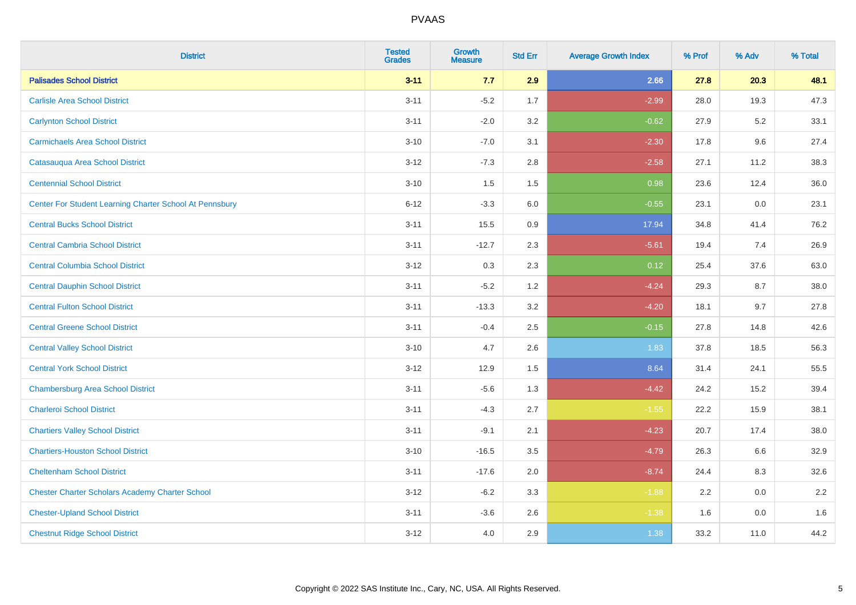| <b>District</b>                                         | <b>Tested</b><br><b>Grades</b> | <b>Growth</b><br><b>Measure</b> | <b>Std Err</b> | <b>Average Growth Index</b> | % Prof | % Adv   | % Total |
|---------------------------------------------------------|--------------------------------|---------------------------------|----------------|-----------------------------|--------|---------|---------|
| <b>Palisades School District</b>                        | $3 - 11$                       | 7.7                             | 2.9            | 2.66                        | 27.8   | 20.3    | 48.1    |
| <b>Carlisle Area School District</b>                    | $3 - 11$                       | $-5.2$                          | 1.7            | $-2.99$                     | 28.0   | 19.3    | 47.3    |
| <b>Carlynton School District</b>                        | $3 - 11$                       | $-2.0$                          | 3.2            | $-0.62$                     | 27.9   | $5.2\,$ | 33.1    |
| <b>Carmichaels Area School District</b>                 | $3 - 10$                       | $-7.0$                          | 3.1            | $-2.30$                     | 17.8   | 9.6     | 27.4    |
| Catasauqua Area School District                         | $3-12$                         | $-7.3$                          | 2.8            | $-2.58$                     | 27.1   | 11.2    | 38.3    |
| <b>Centennial School District</b>                       | $3 - 10$                       | 1.5                             | 1.5            | 0.98                        | 23.6   | 12.4    | 36.0    |
| Center For Student Learning Charter School At Pennsbury | $6 - 12$                       | $-3.3$                          | 6.0            | $-0.55$                     | 23.1   | 0.0     | 23.1    |
| <b>Central Bucks School District</b>                    | $3 - 11$                       | 15.5                            | 0.9            | 17.94                       | 34.8   | 41.4    | 76.2    |
| <b>Central Cambria School District</b>                  | $3 - 11$                       | $-12.7$                         | 2.3            | $-5.61$                     | 19.4   | 7.4     | 26.9    |
| <b>Central Columbia School District</b>                 | $3 - 12$                       | 0.3                             | 2.3            | 0.12                        | 25.4   | 37.6    | 63.0    |
| <b>Central Dauphin School District</b>                  | $3 - 11$                       | $-5.2$                          | 1.2            | $-4.24$                     | 29.3   | 8.7     | 38.0    |
| <b>Central Fulton School District</b>                   | $3 - 11$                       | $-13.3$                         | 3.2            | $-4.20$                     | 18.1   | 9.7     | 27.8    |
| <b>Central Greene School District</b>                   | $3 - 11$                       | $-0.4$                          | 2.5            | $-0.15$                     | 27.8   | 14.8    | 42.6    |
| <b>Central Valley School District</b>                   | $3 - 10$                       | 4.7                             | 2.6            | 1.83                        | 37.8   | 18.5    | 56.3    |
| <b>Central York School District</b>                     | $3 - 12$                       | 12.9                            | 1.5            | 8.64                        | 31.4   | 24.1    | 55.5    |
| <b>Chambersburg Area School District</b>                | $3 - 11$                       | $-5.6$                          | 1.3            | $-4.42$                     | 24.2   | 15.2    | 39.4    |
| <b>Charleroi School District</b>                        | $3 - 11$                       | $-4.3$                          | 2.7            | $-1.55$                     | 22.2   | 15.9    | 38.1    |
| <b>Chartiers Valley School District</b>                 | $3 - 11$                       | $-9.1$                          | 2.1            | $-4.23$                     | 20.7   | 17.4    | 38.0    |
| <b>Chartiers-Houston School District</b>                | $3 - 10$                       | $-16.5$                         | 3.5            | $-4.79$                     | 26.3   | 6.6     | 32.9    |
| <b>Cheltenham School District</b>                       | $3 - 11$                       | $-17.6$                         | 2.0            | $-8.74$                     | 24.4   | 8.3     | 32.6    |
| <b>Chester Charter Scholars Academy Charter School</b>  | $3 - 12$                       | $-6.2$                          | 3.3            | $-1.88$                     | 2.2    | 0.0     | 2.2     |
| <b>Chester-Upland School District</b>                   | $3 - 11$                       | $-3.6$                          | 2.6            | $-1.38$                     | 1.6    | 0.0     | 1.6     |
| <b>Chestnut Ridge School District</b>                   | $3 - 12$                       | 4.0                             | 2.9            | 1.38                        | 33.2   | 11.0    | 44.2    |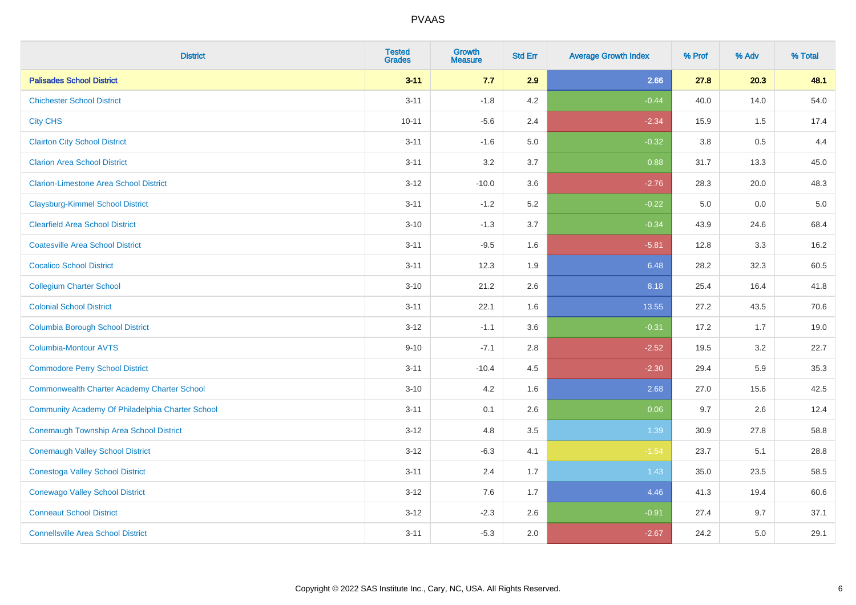| <b>District</b>                                    | <b>Tested</b><br><b>Grades</b> | <b>Growth</b><br><b>Measure</b> | <b>Std Err</b> | <b>Average Growth Index</b> | % Prof  | % Adv | % Total |
|----------------------------------------------------|--------------------------------|---------------------------------|----------------|-----------------------------|---------|-------|---------|
| <b>Palisades School District</b>                   | $3 - 11$                       | 7.7                             | 2.9            | 2.66                        | 27.8    | 20.3  | 48.1    |
| <b>Chichester School District</b>                  | $3 - 11$                       | $-1.8$                          | 4.2            | $-0.44$                     | 40.0    | 14.0  | 54.0    |
| <b>City CHS</b>                                    | $10 - 11$                      | $-5.6$                          | 2.4            | $-2.34$                     | 15.9    | 1.5   | 17.4    |
| <b>Clairton City School District</b>               | $3 - 11$                       | $-1.6$                          | 5.0            | $-0.32$                     | $3.8\,$ | 0.5   | 4.4     |
| <b>Clarion Area School District</b>                | $3 - 11$                       | 3.2                             | 3.7            | 0.88                        | 31.7    | 13.3  | 45.0    |
| <b>Clarion-Limestone Area School District</b>      | $3 - 12$                       | $-10.0$                         | 3.6            | $-2.76$                     | 28.3    | 20.0  | 48.3    |
| <b>Claysburg-Kimmel School District</b>            | $3 - 11$                       | $-1.2$                          | 5.2            | $-0.22$                     | 5.0     | 0.0   | $5.0$   |
| <b>Clearfield Area School District</b>             | $3 - 10$                       | $-1.3$                          | 3.7            | $-0.34$                     | 43.9    | 24.6  | 68.4    |
| <b>Coatesville Area School District</b>            | $3 - 11$                       | $-9.5$                          | 1.6            | $-5.81$                     | 12.8    | 3.3   | 16.2    |
| <b>Cocalico School District</b>                    | $3 - 11$                       | 12.3                            | 1.9            | 6.48                        | 28.2    | 32.3  | 60.5    |
| <b>Collegium Charter School</b>                    | $3 - 10$                       | 21.2                            | 2.6            | 8.18                        | 25.4    | 16.4  | 41.8    |
| <b>Colonial School District</b>                    | $3 - 11$                       | 22.1                            | 1.6            | 13.55                       | 27.2    | 43.5  | 70.6    |
| <b>Columbia Borough School District</b>            | $3 - 12$                       | $-1.1$                          | 3.6            | $-0.31$                     | 17.2    | 1.7   | 19.0    |
| Columbia-Montour AVTS                              | $9 - 10$                       | $-7.1$                          | 2.8            | $-2.52$                     | 19.5    | 3.2   | 22.7    |
| <b>Commodore Perry School District</b>             | $3 - 11$                       | $-10.4$                         | 4.5            | $-2.30$                     | 29.4    | 5.9   | 35.3    |
| <b>Commonwealth Charter Academy Charter School</b> | $3 - 10$                       | 4.2                             | 1.6            | 2.68                        | 27.0    | 15.6  | 42.5    |
| Community Academy Of Philadelphia Charter School   | $3 - 11$                       | 0.1                             | 2.6            | 0.06                        | 9.7     | 2.6   | 12.4    |
| Conemaugh Township Area School District            | $3 - 12$                       | 4.8                             | 3.5            | 1.39                        | 30.9    | 27.8  | 58.8    |
| <b>Conemaugh Valley School District</b>            | $3 - 12$                       | $-6.3$                          | 4.1            | $-1.54$                     | 23.7    | 5.1   | 28.8    |
| <b>Conestoga Valley School District</b>            | $3 - 11$                       | 2.4                             | 1.7            | 1.43                        | 35.0    | 23.5  | 58.5    |
| <b>Conewago Valley School District</b>             | $3 - 12$                       | 7.6                             | 1.7            | 4.46                        | 41.3    | 19.4  | 60.6    |
| <b>Conneaut School District</b>                    | $3 - 12$                       | $-2.3$                          | 2.6            | $-0.91$                     | 27.4    | 9.7   | 37.1    |
| <b>Connellsville Area School District</b>          | $3 - 11$                       | $-5.3$                          | 2.0            | $-2.67$                     | 24.2    | 5.0   | 29.1    |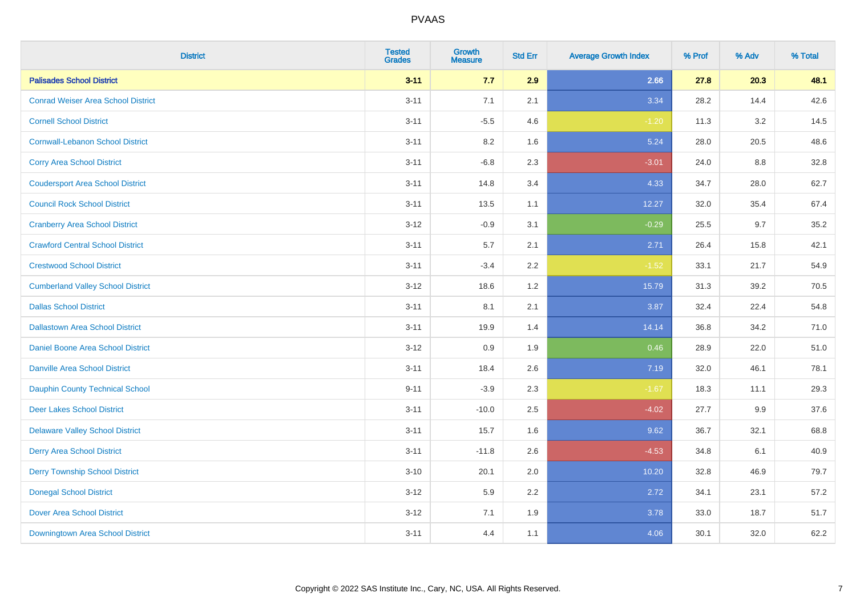| <b>District</b>                           | <b>Tested</b><br><b>Grades</b> | <b>Growth</b><br><b>Measure</b> | <b>Std Err</b> | <b>Average Growth Index</b> | % Prof | % Adv | % Total |
|-------------------------------------------|--------------------------------|---------------------------------|----------------|-----------------------------|--------|-------|---------|
| <b>Palisades School District</b>          | $3 - 11$                       | 7.7                             | 2.9            | 2.66                        | 27.8   | 20.3  | 48.1    |
| <b>Conrad Weiser Area School District</b> | $3 - 11$                       | 7.1                             | 2.1            | 3.34                        | 28.2   | 14.4  | 42.6    |
| <b>Cornell School District</b>            | $3 - 11$                       | $-5.5$                          | 4.6            | $-1.20$                     | 11.3   | 3.2   | 14.5    |
| <b>Cornwall-Lebanon School District</b>   | $3 - 11$                       | $8.2\,$                         | 1.6            | 5.24                        | 28.0   | 20.5  | 48.6    |
| <b>Corry Area School District</b>         | $3 - 11$                       | $-6.8$                          | 2.3            | $-3.01$                     | 24.0   | 8.8   | 32.8    |
| <b>Coudersport Area School District</b>   | $3 - 11$                       | 14.8                            | 3.4            | 4.33                        | 34.7   | 28.0  | 62.7    |
| <b>Council Rock School District</b>       | $3 - 11$                       | 13.5                            | 1.1            | 12.27                       | 32.0   | 35.4  | 67.4    |
| <b>Cranberry Area School District</b>     | $3 - 12$                       | $-0.9$                          | 3.1            | $-0.29$                     | 25.5   | 9.7   | 35.2    |
| <b>Crawford Central School District</b>   | $3 - 11$                       | 5.7                             | 2.1            | 2.71                        | 26.4   | 15.8  | 42.1    |
| <b>Crestwood School District</b>          | $3 - 11$                       | $-3.4$                          | $2.2\,$        | $-1.52$                     | 33.1   | 21.7  | 54.9    |
| <b>Cumberland Valley School District</b>  | $3 - 12$                       | 18.6                            | 1.2            | 15.79                       | 31.3   | 39.2  | 70.5    |
| <b>Dallas School District</b>             | $3 - 11$                       | 8.1                             | 2.1            | 3.87                        | 32.4   | 22.4  | 54.8    |
| <b>Dallastown Area School District</b>    | $3 - 11$                       | 19.9                            | 1.4            | 14.14                       | 36.8   | 34.2  | 71.0    |
| Daniel Boone Area School District         | $3 - 12$                       | 0.9                             | 1.9            | 0.46                        | 28.9   | 22.0  | 51.0    |
| <b>Danville Area School District</b>      | $3 - 11$                       | 18.4                            | 2.6            | 7.19                        | 32.0   | 46.1  | 78.1    |
| <b>Dauphin County Technical School</b>    | $9 - 11$                       | $-3.9$                          | 2.3            | $-1.67$                     | 18.3   | 11.1  | 29.3    |
| <b>Deer Lakes School District</b>         | $3 - 11$                       | $-10.0$                         | 2.5            | $-4.02$                     | 27.7   | 9.9   | 37.6    |
| <b>Delaware Valley School District</b>    | $3 - 11$                       | 15.7                            | 1.6            | 9.62                        | 36.7   | 32.1  | 68.8    |
| <b>Derry Area School District</b>         | $3 - 11$                       | $-11.8$                         | 2.6            | $-4.53$                     | 34.8   | 6.1   | 40.9    |
| <b>Derry Township School District</b>     | $3 - 10$                       | 20.1                            | 2.0            | 10.20                       | 32.8   | 46.9  | 79.7    |
| <b>Donegal School District</b>            | $3 - 12$                       | 5.9                             | 2.2            | 2.72                        | 34.1   | 23.1  | 57.2    |
| <b>Dover Area School District</b>         | $3 - 12$                       | 7.1                             | 1.9            | 3.78                        | 33.0   | 18.7  | 51.7    |
| Downingtown Area School District          | $3 - 11$                       | 4.4                             | 1.1            | 4.06                        | 30.1   | 32.0  | 62.2    |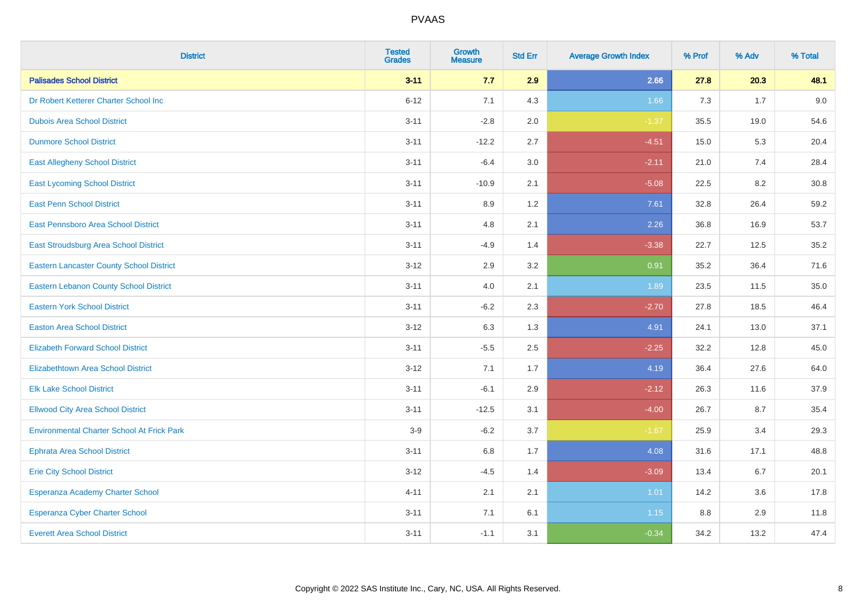| <b>District</b>                                   | <b>Tested</b><br><b>Grades</b> | <b>Growth</b><br><b>Measure</b> | <b>Std Err</b> | <b>Average Growth Index</b> | % Prof | % Adv | % Total |
|---------------------------------------------------|--------------------------------|---------------------------------|----------------|-----------------------------|--------|-------|---------|
| <b>Palisades School District</b>                  | $3 - 11$                       | 7.7                             | 2.9            | 2.66                        | 27.8   | 20.3  | 48.1    |
| Dr Robert Ketterer Charter School Inc             | $6 - 12$                       | 7.1                             | 4.3            | 1.66                        | 7.3    | 1.7   | 9.0     |
| <b>Dubois Area School District</b>                | $3 - 11$                       | $-2.8$                          | 2.0            | $-1.37$                     | 35.5   | 19.0  | 54.6    |
| <b>Dunmore School District</b>                    | $3 - 11$                       | $-12.2$                         | 2.7            | $-4.51$                     | 15.0   | 5.3   | 20.4    |
| <b>East Allegheny School District</b>             | $3 - 11$                       | $-6.4$                          | 3.0            | $-2.11$                     | 21.0   | 7.4   | 28.4    |
| <b>East Lycoming School District</b>              | $3 - 11$                       | $-10.9$                         | 2.1            | $-5.08$                     | 22.5   | 8.2   | 30.8    |
| <b>East Penn School District</b>                  | $3 - 11$                       | 8.9                             | 1.2            | 7.61                        | 32.8   | 26.4  | 59.2    |
| East Pennsboro Area School District               | $3 - 11$                       | 4.8                             | 2.1            | 2.26                        | 36.8   | 16.9  | 53.7    |
| <b>East Stroudsburg Area School District</b>      | $3 - 11$                       | $-4.9$                          | 1.4            | $-3.38$                     | 22.7   | 12.5  | 35.2    |
| <b>Eastern Lancaster County School District</b>   | $3 - 12$                       | 2.9                             | 3.2            | 0.91                        | 35.2   | 36.4  | 71.6    |
| <b>Eastern Lebanon County School District</b>     | $3 - 11$                       | 4.0                             | 2.1            | 1.89                        | 23.5   | 11.5  | 35.0    |
| <b>Eastern York School District</b>               | $3 - 11$                       | $-6.2$                          | 2.3            | $-2.70$                     | 27.8   | 18.5  | 46.4    |
| <b>Easton Area School District</b>                | $3 - 12$                       | 6.3                             | 1.3            | 4.91                        | 24.1   | 13.0  | 37.1    |
| <b>Elizabeth Forward School District</b>          | $3 - 11$                       | $-5.5$                          | 2.5            | $-2.25$                     | 32.2   | 12.8  | 45.0    |
| <b>Elizabethtown Area School District</b>         | $3 - 12$                       | 7.1                             | 1.7            | 4.19                        | 36.4   | 27.6  | 64.0    |
| <b>Elk Lake School District</b>                   | $3 - 11$                       | $-6.1$                          | 2.9            | $-2.12$                     | 26.3   | 11.6  | 37.9    |
| <b>Ellwood City Area School District</b>          | $3 - 11$                       | $-12.5$                         | 3.1            | $-4.00$                     | 26.7   | 8.7   | 35.4    |
| <b>Environmental Charter School At Frick Park</b> | $3-9$                          | $-6.2$                          | 3.7            | $-1.67$                     | 25.9   | 3.4   | 29.3    |
| <b>Ephrata Area School District</b>               | $3 - 11$                       | $6.8\,$                         | 1.7            | 4.08                        | 31.6   | 17.1  | 48.8    |
| <b>Erie City School District</b>                  | $3 - 12$                       | $-4.5$                          | 1.4            | $-3.09$                     | 13.4   | 6.7   | 20.1    |
| Esperanza Academy Charter School                  | $4 - 11$                       | 2.1                             | 2.1            | 1.01                        | 14.2   | 3.6   | 17.8    |
| <b>Esperanza Cyber Charter School</b>             | $3 - 11$                       | 7.1                             | 6.1            | 1.15                        | 8.8    | 2.9   | 11.8    |
| <b>Everett Area School District</b>               | $3 - 11$                       | $-1.1$                          | 3.1            | $-0.34$                     | 34.2   | 13.2  | 47.4    |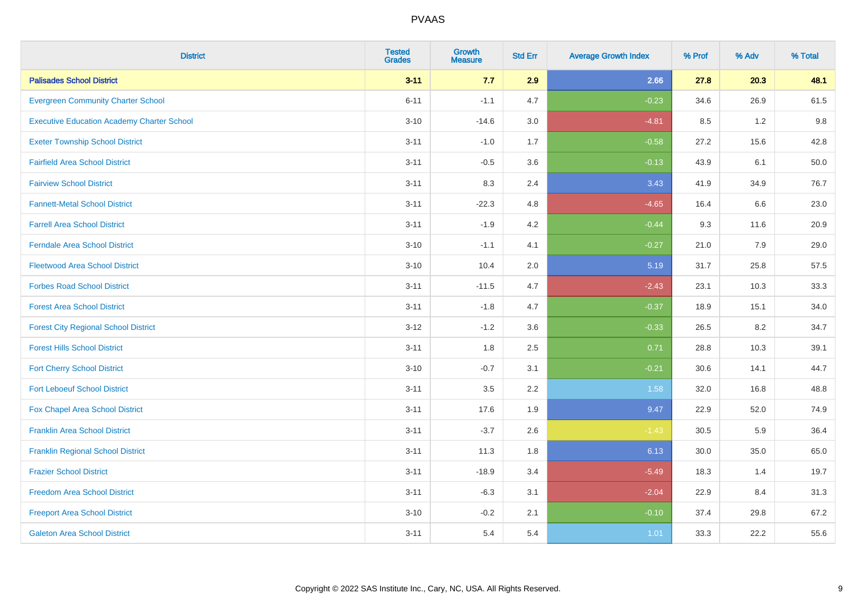| <b>District</b>                                   | <b>Tested</b><br><b>Grades</b> | <b>Growth</b><br><b>Measure</b> | <b>Std Err</b> | <b>Average Growth Index</b> | % Prof | % Adv | % Total |
|---------------------------------------------------|--------------------------------|---------------------------------|----------------|-----------------------------|--------|-------|---------|
| <b>Palisades School District</b>                  | $3 - 11$                       | 7.7                             | 2.9            | 2.66                        | 27.8   | 20.3  | 48.1    |
| <b>Evergreen Community Charter School</b>         | $6 - 11$                       | $-1.1$                          | 4.7            | $-0.23$                     | 34.6   | 26.9  | 61.5    |
| <b>Executive Education Academy Charter School</b> | $3 - 10$                       | $-14.6$                         | 3.0            | $-4.81$                     | 8.5    | 1.2   | 9.8     |
| <b>Exeter Township School District</b>            | $3 - 11$                       | $-1.0$                          | 1.7            | $-0.58$                     | 27.2   | 15.6  | 42.8    |
| <b>Fairfield Area School District</b>             | $3 - 11$                       | $-0.5$                          | 3.6            | $-0.13$                     | 43.9   | 6.1   | 50.0    |
| <b>Fairview School District</b>                   | $3 - 11$                       | 8.3                             | 2.4            | 3.43                        | 41.9   | 34.9  | 76.7    |
| <b>Fannett-Metal School District</b>              | $3 - 11$                       | $-22.3$                         | 4.8            | $-4.65$                     | 16.4   | 6.6   | 23.0    |
| <b>Farrell Area School District</b>               | $3 - 11$                       | $-1.9$                          | 4.2            | $-0.44$                     | 9.3    | 11.6  | 20.9    |
| <b>Ferndale Area School District</b>              | $3 - 10$                       | $-1.1$                          | 4.1            | $-0.27$                     | 21.0   | 7.9   | 29.0    |
| <b>Fleetwood Area School District</b>             | $3 - 10$                       | 10.4                            | 2.0            | 5.19                        | 31.7   | 25.8  | 57.5    |
| <b>Forbes Road School District</b>                | $3 - 11$                       | $-11.5$                         | 4.7            | $-2.43$                     | 23.1   | 10.3  | 33.3    |
| <b>Forest Area School District</b>                | $3 - 11$                       | $-1.8$                          | 4.7            | $-0.37$                     | 18.9   | 15.1  | 34.0    |
| <b>Forest City Regional School District</b>       | $3 - 12$                       | $-1.2$                          | 3.6            | $-0.33$                     | 26.5   | 8.2   | 34.7    |
| <b>Forest Hills School District</b>               | $3 - 11$                       | 1.8                             | 2.5            | 0.71                        | 28.8   | 10.3  | 39.1    |
| <b>Fort Cherry School District</b>                | $3 - 10$                       | $-0.7$                          | 3.1            | $-0.21$                     | 30.6   | 14.1  | 44.7    |
| <b>Fort Leboeuf School District</b>               | $3 - 11$                       | $3.5\,$                         | 2.2            | 1.58                        | 32.0   | 16.8  | 48.8    |
| Fox Chapel Area School District                   | $3 - 11$                       | 17.6                            | 1.9            | 9.47                        | 22.9   | 52.0  | 74.9    |
| <b>Franklin Area School District</b>              | $3 - 11$                       | $-3.7$                          | 2.6            | $-1.43$                     | 30.5   | 5.9   | 36.4    |
| <b>Franklin Regional School District</b>          | $3 - 11$                       | 11.3                            | 1.8            | 6.13                        | 30.0   | 35.0  | 65.0    |
| <b>Frazier School District</b>                    | $3 - 11$                       | $-18.9$                         | 3.4            | $-5.49$                     | 18.3   | 1.4   | 19.7    |
| <b>Freedom Area School District</b>               | $3 - 11$                       | $-6.3$                          | 3.1            | $-2.04$                     | 22.9   | 8.4   | 31.3    |
| <b>Freeport Area School District</b>              | $3 - 10$                       | $-0.2$                          | 2.1            | $-0.10$                     | 37.4   | 29.8  | 67.2    |
| <b>Galeton Area School District</b>               | $3 - 11$                       | 5.4                             | 5.4            | 1.01                        | 33.3   | 22.2  | 55.6    |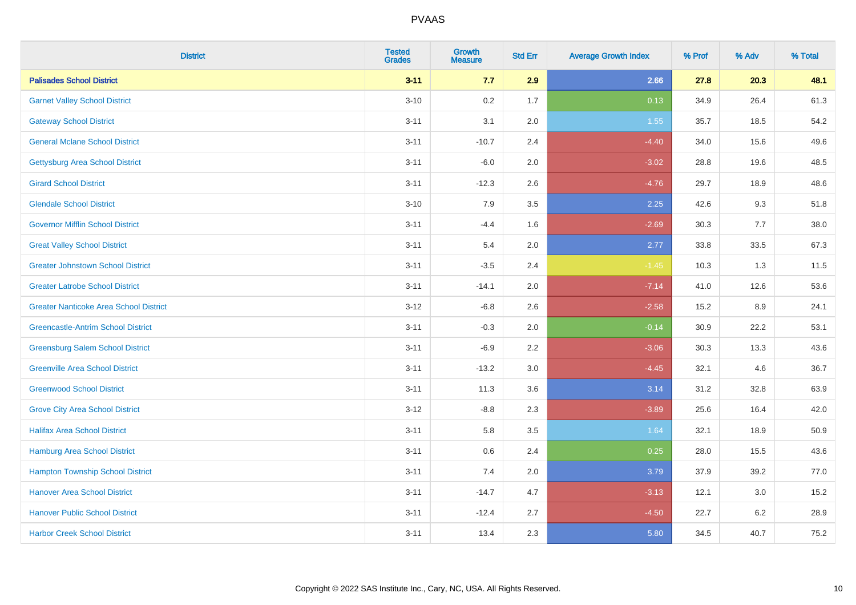| <b>District</b>                               | <b>Tested</b><br><b>Grades</b> | <b>Growth</b><br><b>Measure</b> | <b>Std Err</b> | <b>Average Growth Index</b> | % Prof | % Adv | % Total |
|-----------------------------------------------|--------------------------------|---------------------------------|----------------|-----------------------------|--------|-------|---------|
| <b>Palisades School District</b>              | $3 - 11$                       | 7.7                             | 2.9            | 2.66                        | 27.8   | 20.3  | 48.1    |
| <b>Garnet Valley School District</b>          | $3 - 10$                       | 0.2                             | 1.7            | 0.13                        | 34.9   | 26.4  | 61.3    |
| <b>Gateway School District</b>                | $3 - 11$                       | 3.1                             | 2.0            | 1.55                        | 35.7   | 18.5  | 54.2    |
| <b>General Mclane School District</b>         | $3 - 11$                       | $-10.7$                         | 2.4            | $-4.40$                     | 34.0   | 15.6  | 49.6    |
| <b>Gettysburg Area School District</b>        | $3 - 11$                       | $-6.0$                          | 2.0            | $-3.02$                     | 28.8   | 19.6  | 48.5    |
| <b>Girard School District</b>                 | $3 - 11$                       | $-12.3$                         | 2.6            | $-4.76$                     | 29.7   | 18.9  | 48.6    |
| <b>Glendale School District</b>               | $3 - 10$                       | 7.9                             | 3.5            | 2.25                        | 42.6   | 9.3   | 51.8    |
| <b>Governor Mifflin School District</b>       | $3 - 11$                       | $-4.4$                          | 1.6            | $-2.69$                     | 30.3   | 7.7   | 38.0    |
| <b>Great Valley School District</b>           | $3 - 11$                       | 5.4                             | 2.0            | 2.77                        | 33.8   | 33.5  | 67.3    |
| <b>Greater Johnstown School District</b>      | $3 - 11$                       | $-3.5$                          | 2.4            | $-1.45$                     | 10.3   | 1.3   | 11.5    |
| <b>Greater Latrobe School District</b>        | $3 - 11$                       | $-14.1$                         | 2.0            | $-7.14$                     | 41.0   | 12.6  | 53.6    |
| <b>Greater Nanticoke Area School District</b> | $3 - 12$                       | $-6.8$                          | 2.6            | $-2.58$                     | 15.2   | 8.9   | 24.1    |
| <b>Greencastle-Antrim School District</b>     | $3 - 11$                       | $-0.3$                          | 2.0            | $-0.14$                     | 30.9   | 22.2  | 53.1    |
| <b>Greensburg Salem School District</b>       | $3 - 11$                       | $-6.9$                          | 2.2            | $-3.06$                     | 30.3   | 13.3  | 43.6    |
| <b>Greenville Area School District</b>        | $3 - 11$                       | $-13.2$                         | 3.0            | $-4.45$                     | 32.1   | 4.6   | 36.7    |
| <b>Greenwood School District</b>              | $3 - 11$                       | 11.3                            | 3.6            | 3.14                        | 31.2   | 32.8  | 63.9    |
| <b>Grove City Area School District</b>        | $3 - 12$                       | $-8.8$                          | 2.3            | $-3.89$                     | 25.6   | 16.4  | 42.0    |
| <b>Halifax Area School District</b>           | $3 - 11$                       | 5.8                             | 3.5            | 1.64                        | 32.1   | 18.9  | 50.9    |
| Hamburg Area School District                  | $3 - 11$                       | 0.6                             | 2.4            | 0.25                        | 28.0   | 15.5  | 43.6    |
| <b>Hampton Township School District</b>       | $3 - 11$                       | 7.4                             | 2.0            | 3.79                        | 37.9   | 39.2  | 77.0    |
| <b>Hanover Area School District</b>           | $3 - 11$                       | $-14.7$                         | 4.7            | $-3.13$                     | 12.1   | 3.0   | 15.2    |
| <b>Hanover Public School District</b>         | $3 - 11$                       | $-12.4$                         | 2.7            | $-4.50$                     | 22.7   | 6.2   | 28.9    |
| <b>Harbor Creek School District</b>           | $3 - 11$                       | 13.4                            | 2.3            | 5.80                        | 34.5   | 40.7  | 75.2    |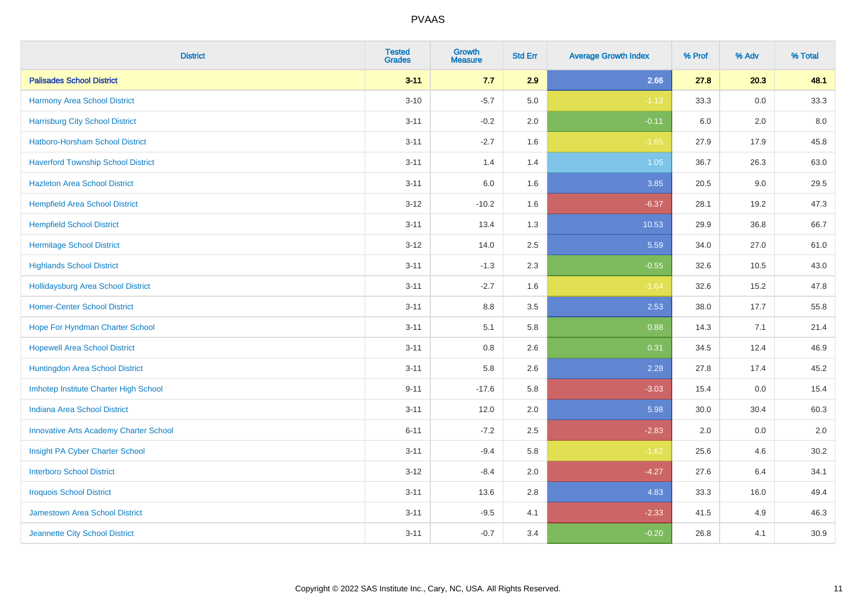| <b>District</b>                               | <b>Tested</b><br><b>Grades</b> | <b>Growth</b><br><b>Measure</b> | <b>Std Err</b> | <b>Average Growth Index</b> | % Prof | % Adv | % Total |
|-----------------------------------------------|--------------------------------|---------------------------------|----------------|-----------------------------|--------|-------|---------|
| <b>Palisades School District</b>              | $3 - 11$                       | 7.7                             | 2.9            | 2.66                        | 27.8   | 20.3  | 48.1    |
| <b>Harmony Area School District</b>           | $3 - 10$                       | $-5.7$                          | 5.0            | $-1.13$                     | 33.3   | 0.0   | 33.3    |
| <b>Harrisburg City School District</b>        | $3 - 11$                       | $-0.2$                          | 2.0            | $-0.11$                     | 6.0    | 2.0   | 8.0     |
| <b>Hatboro-Horsham School District</b>        | $3 - 11$                       | $-2.7$                          | 1.6            | $-1.65$                     | 27.9   | 17.9  | 45.8    |
| <b>Haverford Township School District</b>     | $3 - 11$                       | 1.4                             | 1.4            | 1.05                        | 36.7   | 26.3  | 63.0    |
| <b>Hazleton Area School District</b>          | $3 - 11$                       | $6.0\,$                         | 1.6            | 3.85                        | 20.5   | 9.0   | 29.5    |
| <b>Hempfield Area School District</b>         | $3 - 12$                       | $-10.2$                         | 1.6            | $-6.37$                     | 28.1   | 19.2  | 47.3    |
| <b>Hempfield School District</b>              | $3 - 11$                       | 13.4                            | 1.3            | 10.53                       | 29.9   | 36.8  | 66.7    |
| <b>Hermitage School District</b>              | $3 - 12$                       | 14.0                            | 2.5            | 5.59                        | 34.0   | 27.0  | 61.0    |
| <b>Highlands School District</b>              | $3 - 11$                       | $-1.3$                          | 2.3            | $-0.55$                     | 32.6   | 10.5  | 43.0    |
| <b>Hollidaysburg Area School District</b>     | $3 - 11$                       | $-2.7$                          | 1.6            | $-1.64$                     | 32.6   | 15.2  | 47.8    |
| <b>Homer-Center School District</b>           | $3 - 11$                       | 8.8                             | 3.5            | 2.53                        | 38.0   | 17.7  | 55.8    |
| Hope For Hyndman Charter School               | $3 - 11$                       | 5.1                             | 5.8            | 0.88                        | 14.3   | 7.1   | 21.4    |
| <b>Hopewell Area School District</b>          | $3 - 11$                       | 0.8                             | 2.6            | 0.31                        | 34.5   | 12.4  | 46.9    |
| Huntingdon Area School District               | $3 - 11$                       | 5.8                             | 2.6            | 2.28                        | 27.8   | 17.4  | 45.2    |
| Imhotep Institute Charter High School         | $9 - 11$                       | $-17.6$                         | 5.8            | $-3.03$                     | 15.4   | 0.0   | 15.4    |
| <b>Indiana Area School District</b>           | $3 - 11$                       | 12.0                            | 2.0            | 5.98                        | 30.0   | 30.4  | 60.3    |
| <b>Innovative Arts Academy Charter School</b> | $6 - 11$                       | $-7.2$                          | 2.5            | $-2.83$                     | 2.0    | 0.0   | 2.0     |
| Insight PA Cyber Charter School               | $3 - 11$                       | $-9.4$                          | 5.8            | $-1.62$                     | 25.6   | 4.6   | 30.2    |
| <b>Interboro School District</b>              | $3 - 12$                       | $-8.4$                          | 2.0            | $-4.27$                     | 27.6   | 6.4   | 34.1    |
| <b>Iroquois School District</b>               | $3 - 11$                       | 13.6                            | 2.8            | 4.83                        | 33.3   | 16.0  | 49.4    |
| <b>Jamestown Area School District</b>         | $3 - 11$                       | $-9.5$                          | 4.1            | $-2.33$                     | 41.5   | 4.9   | 46.3    |
| Jeannette City School District                | $3 - 11$                       | $-0.7$                          | 3.4            | $-0.20$                     | 26.8   | 4.1   | 30.9    |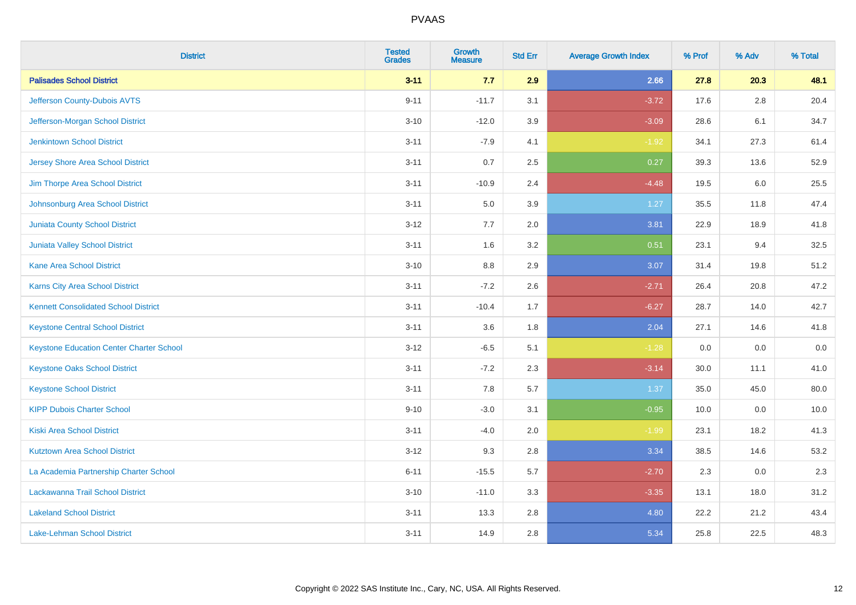| <b>District</b>                                 | <b>Tested</b><br><b>Grades</b> | <b>Growth</b><br><b>Measure</b> | <b>Std Err</b> | <b>Average Growth Index</b> | % Prof | % Adv | % Total |
|-------------------------------------------------|--------------------------------|---------------------------------|----------------|-----------------------------|--------|-------|---------|
| <b>Palisades School District</b>                | $3 - 11$                       | 7.7                             | 2.9            | 2.66                        | 27.8   | 20.3  | 48.1    |
| Jefferson County-Dubois AVTS                    | $9 - 11$                       | $-11.7$                         | 3.1            | $-3.72$                     | 17.6   | 2.8   | 20.4    |
| Jefferson-Morgan School District                | $3 - 10$                       | $-12.0$                         | 3.9            | $-3.09$                     | 28.6   | 6.1   | 34.7    |
| <b>Jenkintown School District</b>               | $3 - 11$                       | $-7.9$                          | 4.1            | $-1.92$                     | 34.1   | 27.3  | 61.4    |
| <b>Jersey Shore Area School District</b>        | $3 - 11$                       | 0.7                             | 2.5            | 0.27                        | 39.3   | 13.6  | 52.9    |
| Jim Thorpe Area School District                 | $3 - 11$                       | $-10.9$                         | 2.4            | $-4.48$                     | 19.5   | 6.0   | 25.5    |
| Johnsonburg Area School District                | $3 - 11$                       | 5.0                             | 3.9            | 1.27                        | 35.5   | 11.8  | 47.4    |
| <b>Juniata County School District</b>           | $3 - 12$                       | 7.7                             | 2.0            | 3.81                        | 22.9   | 18.9  | 41.8    |
| <b>Juniata Valley School District</b>           | $3 - 11$                       | 1.6                             | 3.2            | 0.51                        | 23.1   | 9.4   | 32.5    |
| <b>Kane Area School District</b>                | $3 - 10$                       | 8.8                             | 2.9            | 3.07                        | 31.4   | 19.8  | 51.2    |
| Karns City Area School District                 | $3 - 11$                       | $-7.2$                          | 2.6            | $-2.71$                     | 26.4   | 20.8  | 47.2    |
| <b>Kennett Consolidated School District</b>     | $3 - 11$                       | $-10.4$                         | 1.7            | $-6.27$                     | 28.7   | 14.0  | 42.7    |
| <b>Keystone Central School District</b>         | $3 - 11$                       | 3.6                             | 1.8            | 2.04                        | 27.1   | 14.6  | 41.8    |
| <b>Keystone Education Center Charter School</b> | $3 - 12$                       | $-6.5$                          | 5.1            | $-1.28$                     | 0.0    | 0.0   | 0.0     |
| <b>Keystone Oaks School District</b>            | $3 - 11$                       | $-7.2$                          | 2.3            | $-3.14$                     | 30.0   | 11.1  | 41.0    |
| <b>Keystone School District</b>                 | $3 - 11$                       | 7.8                             | 5.7            | 1.37                        | 35.0   | 45.0  | 80.0    |
| <b>KIPP Dubois Charter School</b>               | $9 - 10$                       | $-3.0$                          | 3.1            | $-0.95$                     | 10.0   | 0.0   | 10.0    |
| <b>Kiski Area School District</b>               | $3 - 11$                       | $-4.0$                          | 2.0            | $-1.99$                     | 23.1   | 18.2  | 41.3    |
| <b>Kutztown Area School District</b>            | $3 - 12$                       | 9.3                             | 2.8            | 3.34                        | 38.5   | 14.6  | 53.2    |
| La Academia Partnership Charter School          | $6 - 11$                       | $-15.5$                         | 5.7            | $-2.70$                     | 2.3    | 0.0   | 2.3     |
| Lackawanna Trail School District                | $3 - 10$                       | $-11.0$                         | 3.3            | $-3.35$                     | 13.1   | 18.0  | 31.2    |
| <b>Lakeland School District</b>                 | $3 - 11$                       | 13.3                            | 2.8            | 4.80                        | 22.2   | 21.2  | 43.4    |
| Lake-Lehman School District                     | $3 - 11$                       | 14.9                            | 2.8            | 5.34                        | 25.8   | 22.5  | 48.3    |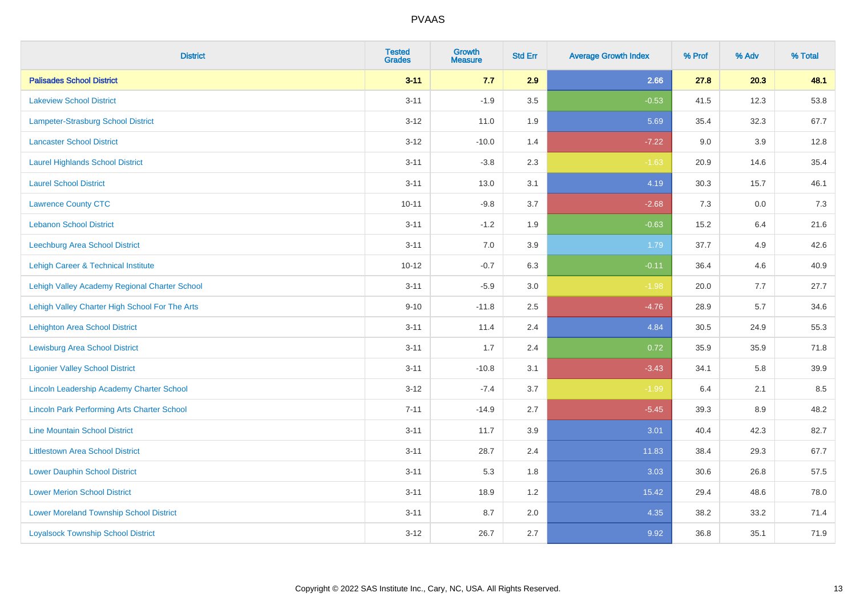| <b>District</b>                                    | <b>Tested</b><br><b>Grades</b> | <b>Growth</b><br><b>Measure</b> | <b>Std Err</b> | <b>Average Growth Index</b> | % Prof | % Adv   | % Total |
|----------------------------------------------------|--------------------------------|---------------------------------|----------------|-----------------------------|--------|---------|---------|
| <b>Palisades School District</b>                   | $3 - 11$                       | 7.7                             | 2.9            | 2.66                        | 27.8   | 20.3    | 48.1    |
| <b>Lakeview School District</b>                    | $3 - 11$                       | $-1.9$                          | 3.5            | $-0.53$                     | 41.5   | 12.3    | 53.8    |
| Lampeter-Strasburg School District                 | $3 - 12$                       | 11.0                            | 1.9            | 5.69                        | 35.4   | 32.3    | 67.7    |
| <b>Lancaster School District</b>                   | $3 - 12$                       | $-10.0$                         | 1.4            | $-7.22$                     | 9.0    | 3.9     | 12.8    |
| <b>Laurel Highlands School District</b>            | $3 - 11$                       | $-3.8$                          | 2.3            | $-1.63$                     | 20.9   | 14.6    | 35.4    |
| <b>Laurel School District</b>                      | $3 - 11$                       | 13.0                            | 3.1            | 4.19                        | 30.3   | 15.7    | 46.1    |
| <b>Lawrence County CTC</b>                         | $10 - 11$                      | $-9.8$                          | 3.7            | $-2.68$                     | 7.3    | $0.0\,$ | 7.3     |
| <b>Lebanon School District</b>                     | $3 - 11$                       | $-1.2$                          | 1.9            | $-0.63$                     | 15.2   | 6.4     | 21.6    |
| Leechburg Area School District                     | $3 - 11$                       | 7.0                             | 3.9            | 1.79                        | 37.7   | 4.9     | 42.6    |
| Lehigh Career & Technical Institute                | $10 - 12$                      | $-0.7$                          | 6.3            | $-0.11$                     | 36.4   | 4.6     | 40.9    |
| Lehigh Valley Academy Regional Charter School      | $3 - 11$                       | $-5.9$                          | 3.0            | $-1.98$                     | 20.0   | 7.7     | 27.7    |
| Lehigh Valley Charter High School For The Arts     | $9 - 10$                       | $-11.8$                         | 2.5            | $-4.76$                     | 28.9   | 5.7     | 34.6    |
| <b>Lehighton Area School District</b>              | $3 - 11$                       | 11.4                            | 2.4            | 4.84                        | 30.5   | 24.9    | 55.3    |
| <b>Lewisburg Area School District</b>              | $3 - 11$                       | 1.7                             | 2.4            | 0.72                        | 35.9   | 35.9    | 71.8    |
| <b>Ligonier Valley School District</b>             | $3 - 11$                       | $-10.8$                         | 3.1            | $-3.43$                     | 34.1   | 5.8     | 39.9    |
| Lincoln Leadership Academy Charter School          | $3 - 12$                       | $-7.4$                          | 3.7            | $-1.99$                     | 6.4    | 2.1     | 8.5     |
| <b>Lincoln Park Performing Arts Charter School</b> | $7 - 11$                       | $-14.9$                         | 2.7            | $-5.45$                     | 39.3   | 8.9     | 48.2    |
| <b>Line Mountain School District</b>               | $3 - 11$                       | 11.7                            | 3.9            | 3.01                        | 40.4   | 42.3    | 82.7    |
| <b>Littlestown Area School District</b>            | $3 - 11$                       | 28.7                            | 2.4            | 11.83                       | 38.4   | 29.3    | 67.7    |
| <b>Lower Dauphin School District</b>               | $3 - 11$                       | 5.3                             | 1.8            | 3.03                        | 30.6   | 26.8    | 57.5    |
| <b>Lower Merion School District</b>                | $3 - 11$                       | 18.9                            | 1.2            | 15.42                       | 29.4   | 48.6    | 78.0    |
| <b>Lower Moreland Township School District</b>     | $3 - 11$                       | 8.7                             | 2.0            | 4.35                        | 38.2   | 33.2    | 71.4    |
| <b>Loyalsock Township School District</b>          | $3 - 12$                       | 26.7                            | 2.7            | 9.92                        | 36.8   | 35.1    | 71.9    |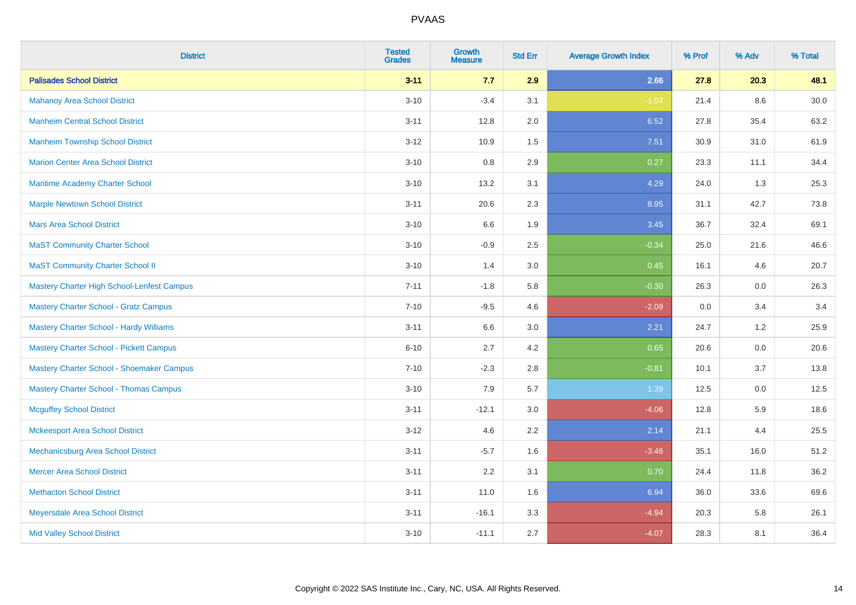| <b>District</b>                                | <b>Tested</b><br><b>Grades</b> | <b>Growth</b><br><b>Measure</b> | <b>Std Err</b> | <b>Average Growth Index</b> | % Prof | % Adv | % Total |
|------------------------------------------------|--------------------------------|---------------------------------|----------------|-----------------------------|--------|-------|---------|
| <b>Palisades School District</b>               | $3 - 11$                       | 7.7                             | 2.9            | 2.66                        | 27.8   | 20.3  | 48.1    |
| <b>Mahanoy Area School District</b>            | $3 - 10$                       | $-3.4$                          | 3.1            | $-1.07$                     | 21.4   | 8.6   | 30.0    |
| <b>Manheim Central School District</b>         | $3 - 11$                       | 12.8                            | 2.0            | 6.52                        | 27.8   | 35.4  | 63.2    |
| <b>Manheim Township School District</b>        | $3 - 12$                       | 10.9                            | 1.5            | 7.51                        | 30.9   | 31.0  | 61.9    |
| <b>Marion Center Area School District</b>      | $3 - 10$                       | 0.8                             | 2.9            | 0.27                        | 23.3   | 11.1  | 34.4    |
| Maritime Academy Charter School                | $3 - 10$                       | 13.2                            | 3.1            | 4.29                        | 24.0   | 1.3   | 25.3    |
| <b>Marple Newtown School District</b>          | $3 - 11$                       | 20.6                            | 2.3            | 8.95                        | 31.1   | 42.7  | 73.8    |
| <b>Mars Area School District</b>               | $3 - 10$                       | 6.6                             | 1.9            | 3.45                        | 36.7   | 32.4  | 69.1    |
| <b>MaST Community Charter School</b>           | $3 - 10$                       | $-0.9$                          | 2.5            | $-0.34$                     | 25.0   | 21.6  | 46.6    |
| <b>MaST Community Charter School II</b>        | $3 - 10$                       | 1.4                             | 3.0            | 0.45                        | 16.1   | 4.6   | 20.7    |
| Mastery Charter High School-Lenfest Campus     | $7 - 11$                       | $-1.8$                          | 5.8            | $-0.30$                     | 26.3   | 0.0   | 26.3    |
| <b>Mastery Charter School - Gratz Campus</b>   | $7 - 10$                       | $-9.5$                          | 4.6            | $-2.09$                     | 0.0    | 3.4   | 3.4     |
| <b>Mastery Charter School - Hardy Williams</b> | $3 - 11$                       | 6.6                             | 3.0            | 2.21                        | 24.7   | 1.2   | 25.9    |
| <b>Mastery Charter School - Pickett Campus</b> | $6 - 10$                       | 2.7                             | 4.2            | 0.65                        | 20.6   | 0.0   | 20.6    |
| Mastery Charter School - Shoemaker Campus      | $7 - 10$                       | $-2.3$                          | 2.8            | $-0.81$                     | 10.1   | 3.7   | 13.8    |
| <b>Mastery Charter School - Thomas Campus</b>  | $3 - 10$                       | 7.9                             | 5.7            | 1.39                        | 12.5   | 0.0   | 12.5    |
| <b>Mcguffey School District</b>                | $3 - 11$                       | $-12.1$                         | 3.0            | $-4.06$                     | 12.8   | 5.9   | 18.6    |
| <b>Mckeesport Area School District</b>         | $3 - 12$                       | 4.6                             | 2.2            | 2.14                        | 21.1   | 4.4   | 25.5    |
| Mechanicsburg Area School District             | $3 - 11$                       | $-5.7$                          | 1.6            | $-3.48$                     | 35.1   | 16.0  | 51.2    |
| <b>Mercer Area School District</b>             | $3 - 11$                       | 2.2                             | 3.1            | 0.70                        | 24.4   | 11.8  | 36.2    |
| <b>Methacton School District</b>               | $3 - 11$                       | 11.0                            | 1.6            | 6.94                        | 36.0   | 33.6  | 69.6    |
| Meyersdale Area School District                | $3 - 11$                       | $-16.1$                         | 3.3            | $-4.94$                     | 20.3   | 5.8   | 26.1    |
| <b>Mid Valley School District</b>              | $3 - 10$                       | $-11.1$                         | 2.7            | $-4.07$                     | 28.3   | 8.1   | 36.4    |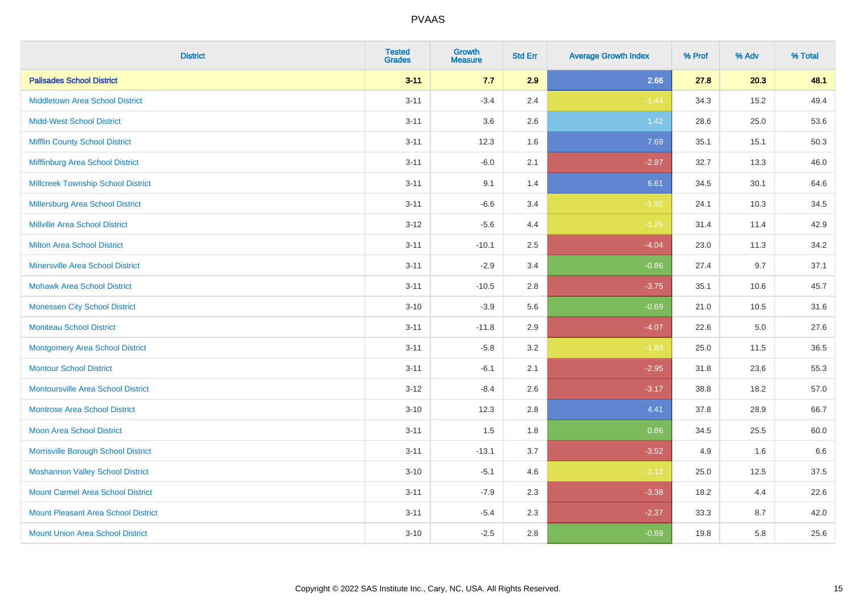| <b>District</b>                            | <b>Tested</b><br><b>Grades</b> | <b>Growth</b><br><b>Measure</b> | <b>Std Err</b> | <b>Average Growth Index</b> | % Prof | % Adv | % Total |
|--------------------------------------------|--------------------------------|---------------------------------|----------------|-----------------------------|--------|-------|---------|
| <b>Palisades School District</b>           | $3 - 11$                       | 7.7                             | 2.9            | 2.66                        | 27.8   | 20.3  | 48.1    |
| <b>Middletown Area School District</b>     | $3 - 11$                       | $-3.4$                          | 2.4            | $-1.44$                     | 34.3   | 15.2  | 49.4    |
| <b>Midd-West School District</b>           | $3 - 11$                       | 3.6                             | 2.6            | 1.42                        | 28.6   | 25.0  | 53.6    |
| <b>Mifflin County School District</b>      | $3 - 11$                       | 12.3                            | 1.6            | 7.69                        | 35.1   | 15.1  | 50.3    |
| Mifflinburg Area School District           | $3 - 11$                       | $-6.0$                          | 2.1            | $-2.87$                     | 32.7   | 13.3  | 46.0    |
| <b>Millcreek Township School District</b>  | $3 - 11$                       | 9.1                             | 1.4            | 6.61                        | 34.5   | 30.1  | 64.6    |
| Millersburg Area School District           | $3 - 11$                       | $-6.6$                          | 3.4            | $-1.92$                     | 24.1   | 10.3  | 34.5    |
| <b>Millville Area School District</b>      | $3 - 12$                       | $-5.6$                          | 4.4            | $-1.26$                     | 31.4   | 11.4  | 42.9    |
| <b>Milton Area School District</b>         | $3 - 11$                       | $-10.1$                         | 2.5            | $-4.04$                     | 23.0   | 11.3  | 34.2    |
| <b>Minersville Area School District</b>    | $3 - 11$                       | $-2.9$                          | 3.4            | $-0.86$                     | 27.4   | 9.7   | 37.1    |
| <b>Mohawk Area School District</b>         | $3 - 11$                       | $-10.5$                         | 2.8            | $-3.75$                     | 35.1   | 10.6  | 45.7    |
| <b>Monessen City School District</b>       | $3 - 10$                       | $-3.9$                          | 5.6            | $-0.69$                     | 21.0   | 10.5  | 31.6    |
| <b>Moniteau School District</b>            | $3 - 11$                       | $-11.8$                         | 2.9            | $-4.07$                     | 22.6   | 5.0   | 27.6    |
| <b>Montgomery Area School District</b>     | $3 - 11$                       | $-5.8$                          | 3.2            | $-1.83$                     | 25.0   | 11.5  | 36.5    |
| <b>Montour School District</b>             | $3 - 11$                       | $-6.1$                          | 2.1            | $-2.95$                     | 31.8   | 23.6  | 55.3    |
| <b>Montoursville Area School District</b>  | $3 - 12$                       | $-8.4$                          | 2.6            | $-3.17$                     | 38.8   | 18.2  | 57.0    |
| <b>Montrose Area School District</b>       | $3 - 10$                       | 12.3                            | 2.8            | 4.41                        | 37.8   | 28.9  | 66.7    |
| <b>Moon Area School District</b>           | $3 - 11$                       | 1.5                             | 1.8            | 0.86                        | 34.5   | 25.5  | 60.0    |
| Morrisville Borough School District        | $3 - 11$                       | $-13.1$                         | 3.7            | $-3.52$                     | 4.9    | 1.6   | 6.6     |
| <b>Moshannon Valley School District</b>    | $3 - 10$                       | $-5.1$                          | 4.6            | $-1.12$                     | 25.0   | 12.5  | 37.5    |
| <b>Mount Carmel Area School District</b>   | $3 - 11$                       | $-7.9$                          | 2.3            | $-3.38$                     | 18.2   | 4.4   | 22.6    |
| <b>Mount Pleasant Area School District</b> | $3 - 11$                       | $-5.4$                          | 2.3            | $-2.37$                     | 33.3   | 8.7   | 42.0    |
| <b>Mount Union Area School District</b>    | $3 - 10$                       | $-2.5$                          | 2.8            | $-0.89$                     | 19.8   | 5.8   | 25.6    |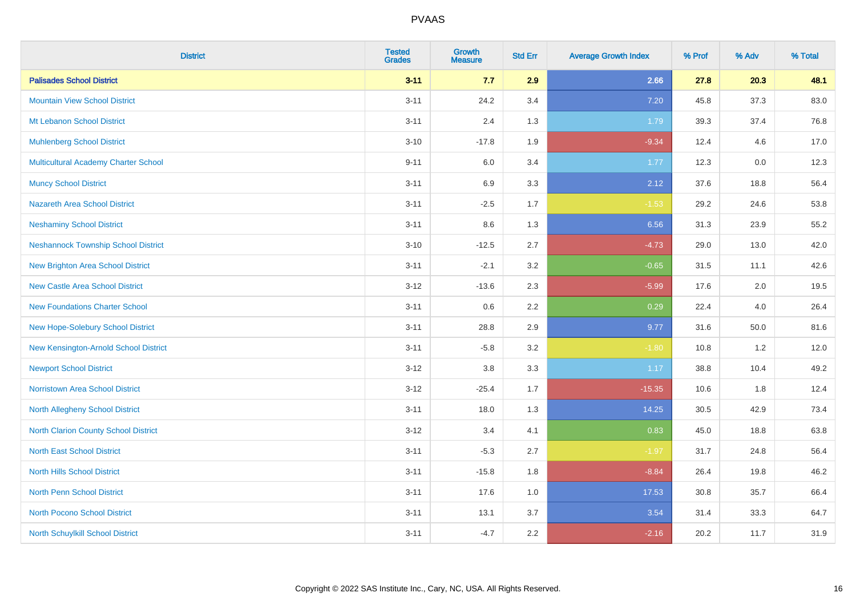| <b>District</b>                             | <b>Tested</b><br><b>Grades</b> | <b>Growth</b><br><b>Measure</b> | <b>Std Err</b> | <b>Average Growth Index</b> | % Prof | % Adv | % Total |
|---------------------------------------------|--------------------------------|---------------------------------|----------------|-----------------------------|--------|-------|---------|
| <b>Palisades School District</b>            | $3 - 11$                       | 7.7                             | 2.9            | 2.66                        | 27.8   | 20.3  | 48.1    |
| <b>Mountain View School District</b>        | $3 - 11$                       | 24.2                            | 3.4            | 7.20                        | 45.8   | 37.3  | 83.0    |
| Mt Lebanon School District                  | $3 - 11$                       | 2.4                             | 1.3            | 1.79                        | 39.3   | 37.4  | 76.8    |
| <b>Muhlenberg School District</b>           | $3 - 10$                       | $-17.8$                         | 1.9            | $-9.34$                     | 12.4   | 4.6   | 17.0    |
| <b>Multicultural Academy Charter School</b> | $9 - 11$                       | 6.0                             | 3.4            | 1.77                        | 12.3   | 0.0   | 12.3    |
| <b>Muncy School District</b>                | $3 - 11$                       | 6.9                             | 3.3            | 2.12                        | 37.6   | 18.8  | 56.4    |
| Nazareth Area School District               | $3 - 11$                       | $-2.5$                          | 1.7            | $-1.53$                     | 29.2   | 24.6  | 53.8    |
| <b>Neshaminy School District</b>            | $3 - 11$                       | $8.6\,$                         | 1.3            | 6.56                        | 31.3   | 23.9  | 55.2    |
| <b>Neshannock Township School District</b>  | $3 - 10$                       | $-12.5$                         | 2.7            | $-4.73$                     | 29.0   | 13.0  | 42.0    |
| <b>New Brighton Area School District</b>    | $3 - 11$                       | $-2.1$                          | 3.2            | $-0.65$                     | 31.5   | 11.1  | 42.6    |
| <b>New Castle Area School District</b>      | $3 - 12$                       | $-13.6$                         | 2.3            | $-5.99$                     | 17.6   | 2.0   | 19.5    |
| <b>New Foundations Charter School</b>       | $3 - 11$                       | 0.6                             | 2.2            | 0.29                        | 22.4   | 4.0   | 26.4    |
| New Hope-Solebury School District           | $3 - 11$                       | 28.8                            | 2.9            | 9.77                        | 31.6   | 50.0  | 81.6    |
| New Kensington-Arnold School District       | $3 - 11$                       | $-5.8$                          | 3.2            | $-1.80$                     | 10.8   | 1.2   | 12.0    |
| <b>Newport School District</b>              | $3 - 12$                       | $3.8\,$                         | 3.3            | 1.17                        | 38.8   | 10.4  | 49.2    |
| <b>Norristown Area School District</b>      | $3 - 12$                       | $-25.4$                         | 1.7            | $-15.35$                    | 10.6   | 1.8   | 12.4    |
| <b>North Allegheny School District</b>      | $3 - 11$                       | 18.0                            | 1.3            | 14.25                       | 30.5   | 42.9  | 73.4    |
| <b>North Clarion County School District</b> | $3 - 12$                       | 3.4                             | 4.1            | 0.83                        | 45.0   | 18.8  | 63.8    |
| <b>North East School District</b>           | $3 - 11$                       | $-5.3$                          | 2.7            | $-1.97$                     | 31.7   | 24.8  | 56.4    |
| <b>North Hills School District</b>          | $3 - 11$                       | $-15.8$                         | 1.8            | $-8.84$                     | 26.4   | 19.8  | 46.2    |
| <b>North Penn School District</b>           | $3 - 11$                       | 17.6                            | 1.0            | 17.53                       | 30.8   | 35.7  | 66.4    |
| <b>North Pocono School District</b>         | $3 - 11$                       | 13.1                            | 3.7            | 3.54                        | 31.4   | 33.3  | 64.7    |
| North Schuylkill School District            | $3 - 11$                       | $-4.7$                          | 2.2            | $-2.16$                     | 20.2   | 11.7  | 31.9    |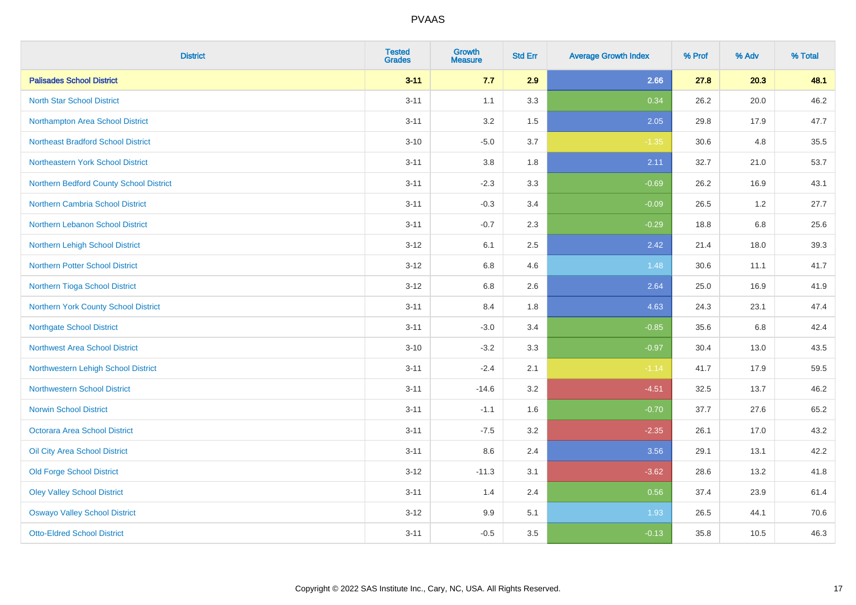| <b>District</b>                           | <b>Tested</b><br><b>Grades</b> | <b>Growth</b><br><b>Measure</b> | <b>Std Err</b> | <b>Average Growth Index</b> | % Prof | % Adv | % Total |
|-------------------------------------------|--------------------------------|---------------------------------|----------------|-----------------------------|--------|-------|---------|
| <b>Palisades School District</b>          | $3 - 11$                       | 7.7                             | 2.9            | 2.66                        | 27.8   | 20.3  | 48.1    |
| <b>North Star School District</b>         | $3 - 11$                       | 1.1                             | 3.3            | 0.34                        | 26.2   | 20.0  | 46.2    |
| Northampton Area School District          | $3 - 11$                       | 3.2                             | 1.5            | 2.05                        | 29.8   | 17.9  | 47.7    |
| <b>Northeast Bradford School District</b> | $3 - 10$                       | $-5.0$                          | 3.7            | $-1.35$                     | 30.6   | 4.8   | 35.5    |
| Northeastern York School District         | $3 - 11$                       | 3.8                             | 1.8            | 2.11                        | 32.7   | 21.0  | 53.7    |
| Northern Bedford County School District   | $3 - 11$                       | $-2.3$                          | 3.3            | $-0.69$                     | 26.2   | 16.9  | 43.1    |
| Northern Cambria School District          | $3 - 11$                       | $-0.3$                          | 3.4            | $-0.09$                     | 26.5   | 1.2   | 27.7    |
| <b>Northern Lebanon School District</b>   | $3 - 11$                       | $-0.7$                          | 2.3            | $-0.29$                     | 18.8   | 6.8   | 25.6    |
| Northern Lehigh School District           | $3 - 12$                       | 6.1                             | 2.5            | 2.42                        | 21.4   | 18.0  | 39.3    |
| <b>Northern Potter School District</b>    | $3 - 12$                       | 6.8                             | 4.6            | 1.48                        | 30.6   | 11.1  | 41.7    |
| Northern Tioga School District            | $3-12$                         | $6.8\,$                         | 2.6            | 2.64                        | 25.0   | 16.9  | 41.9    |
| Northern York County School District      | $3 - 11$                       | 8.4                             | 1.8            | 4.63                        | 24.3   | 23.1  | 47.4    |
| <b>Northgate School District</b>          | $3 - 11$                       | $-3.0$                          | 3.4            | $-0.85$                     | 35.6   | 6.8   | 42.4    |
| Northwest Area School District            | $3 - 10$                       | $-3.2$                          | 3.3            | $-0.97$                     | 30.4   | 13.0  | 43.5    |
| Northwestern Lehigh School District       | $3 - 11$                       | $-2.4$                          | 2.1            | $-1.14$                     | 41.7   | 17.9  | 59.5    |
| <b>Northwestern School District</b>       | $3 - 11$                       | $-14.6$                         | 3.2            | $-4.51$                     | 32.5   | 13.7  | 46.2    |
| <b>Norwin School District</b>             | $3 - 11$                       | $-1.1$                          | 1.6            | $-0.70$                     | 37.7   | 27.6  | 65.2    |
| <b>Octorara Area School District</b>      | $3 - 11$                       | $-7.5$                          | 3.2            | $-2.35$                     | 26.1   | 17.0  | 43.2    |
| Oil City Area School District             | $3 - 11$                       | 8.6                             | 2.4            | 3.56                        | 29.1   | 13.1  | 42.2    |
| <b>Old Forge School District</b>          | $3 - 12$                       | $-11.3$                         | 3.1            | $-3.62$                     | 28.6   | 13.2  | 41.8    |
| <b>Oley Valley School District</b>        | $3 - 11$                       | 1.4                             | 2.4            | 0.56                        | 37.4   | 23.9  | 61.4    |
| <b>Oswayo Valley School District</b>      | $3-12$                         | 9.9                             | 5.1            | 1.93                        | 26.5   | 44.1  | 70.6    |
| <b>Otto-Eldred School District</b>        | $3 - 11$                       | $-0.5$                          | 3.5            | $-0.13$                     | 35.8   | 10.5  | 46.3    |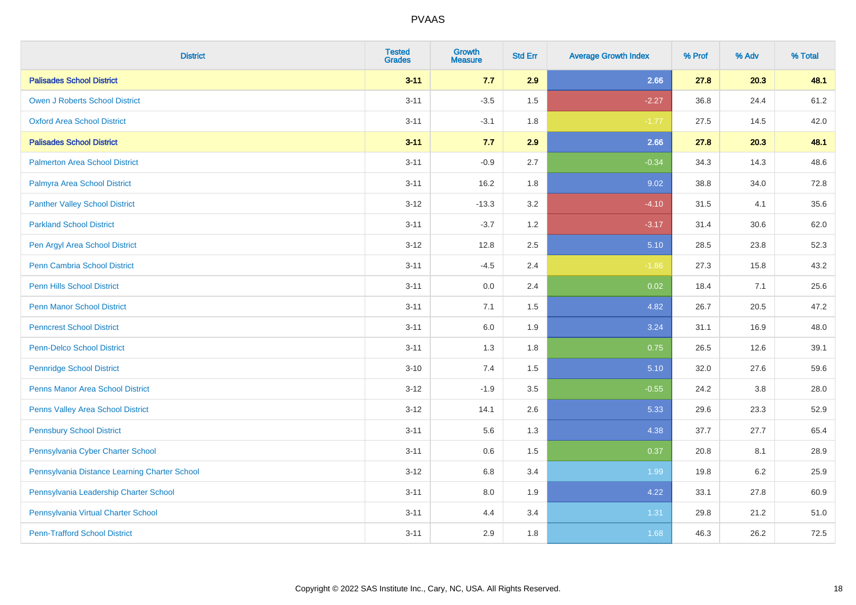| <b>District</b>                               | <b>Tested</b><br><b>Grades</b> | <b>Growth</b><br><b>Measure</b> | <b>Std Err</b> | <b>Average Growth Index</b> | % Prof | % Adv | % Total |
|-----------------------------------------------|--------------------------------|---------------------------------|----------------|-----------------------------|--------|-------|---------|
| <b>Palisades School District</b>              | $3 - 11$                       | 7.7                             | 2.9            | 2.66                        | 27.8   | 20.3  | 48.1    |
| <b>Owen J Roberts School District</b>         | $3 - 11$                       | $-3.5$                          | 1.5            | $-2.27$                     | 36.8   | 24.4  | 61.2    |
| <b>Oxford Area School District</b>            | $3 - 11$                       | $-3.1$                          | 1.8            | $-1.77$                     | 27.5   | 14.5  | 42.0    |
| <b>Palisades School District</b>              | $3 - 11$                       | 7.7                             | 2.9            | 2.66                        | 27.8   | 20.3  | 48.1    |
| <b>Palmerton Area School District</b>         | $3 - 11$                       | $-0.9$                          | 2.7            | $-0.34$                     | 34.3   | 14.3  | 48.6    |
| Palmyra Area School District                  | $3 - 11$                       | 16.2                            | 1.8            | 9.02                        | 38.8   | 34.0  | 72.8    |
| <b>Panther Valley School District</b>         | $3 - 12$                       | $-13.3$                         | 3.2            | $-4.10$                     | 31.5   | 4.1   | 35.6    |
| <b>Parkland School District</b>               | $3 - 11$                       | $-3.7$                          | 1.2            | $-3.17$                     | 31.4   | 30.6  | 62.0    |
| Pen Argyl Area School District                | $3 - 12$                       | 12.8                            | 2.5            | 5.10                        | 28.5   | 23.8  | 52.3    |
| <b>Penn Cambria School District</b>           | $3 - 11$                       | $-4.5$                          | 2.4            | $-1.86$                     | 27.3   | 15.8  | 43.2    |
| <b>Penn Hills School District</b>             | $3 - 11$                       | 0.0                             | 2.4            | 0.02                        | 18.4   | 7.1   | 25.6    |
| <b>Penn Manor School District</b>             | $3 - 11$                       | 7.1                             | 1.5            | 4.82                        | 26.7   | 20.5  | 47.2    |
| <b>Penncrest School District</b>              | $3 - 11$                       | 6.0                             | 1.9            | 3.24                        | 31.1   | 16.9  | 48.0    |
| <b>Penn-Delco School District</b>             | $3 - 11$                       | 1.3                             | 1.8            | 0.75                        | 26.5   | 12.6  | 39.1    |
| <b>Pennridge School District</b>              | $3 - 10$                       | 7.4                             | 1.5            | 5.10                        | 32.0   | 27.6  | 59.6    |
| <b>Penns Manor Area School District</b>       | $3 - 12$                       | $-1.9$                          | 3.5            | $-0.55$                     | 24.2   | 3.8   | 28.0    |
| <b>Penns Valley Area School District</b>      | $3 - 12$                       | 14.1                            | 2.6            | 5.33                        | 29.6   | 23.3  | 52.9    |
| <b>Pennsbury School District</b>              | $3 - 11$                       | 5.6                             | 1.3            | 4.38                        | 37.7   | 27.7  | 65.4    |
| Pennsylvania Cyber Charter School             | $3 - 11$                       | 0.6                             | 1.5            | 0.37                        | 20.8   | 8.1   | 28.9    |
| Pennsylvania Distance Learning Charter School | $3 - 12$                       | 6.8                             | 3.4            | 1.99                        | 19.8   | 6.2   | 25.9    |
| Pennsylvania Leadership Charter School        | $3 - 11$                       | 8.0                             | 1.9            | 4.22                        | 33.1   | 27.8  | 60.9    |
| Pennsylvania Virtual Charter School           | $3 - 11$                       | 4.4                             | 3.4            | 1.31                        | 29.8   | 21.2  | 51.0    |
| <b>Penn-Trafford School District</b>          | $3 - 11$                       | 2.9                             | 1.8            | 1.68                        | 46.3   | 26.2  | 72.5    |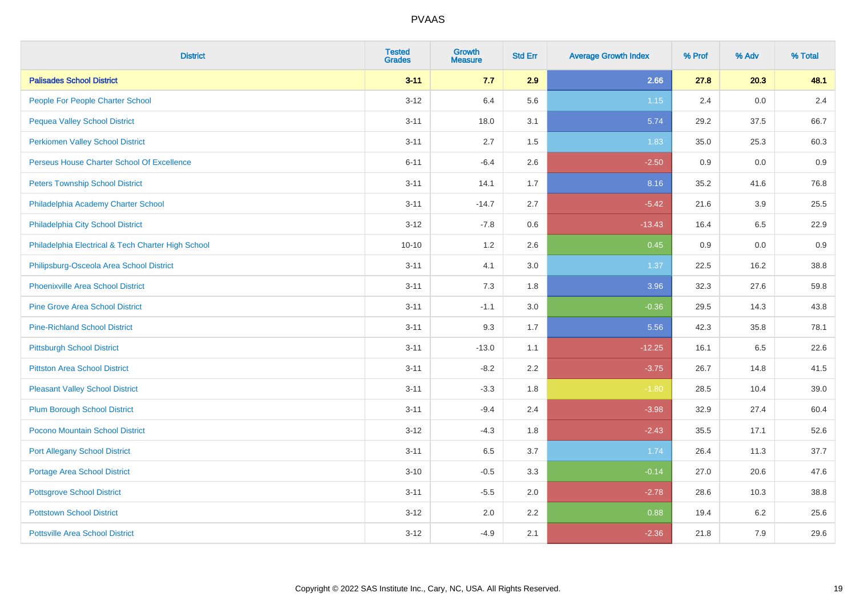| <b>District</b>                                    | <b>Tested</b><br><b>Grades</b> | <b>Growth</b><br><b>Measure</b> | <b>Std Err</b> | <b>Average Growth Index</b> | % Prof | % Adv | % Total |
|----------------------------------------------------|--------------------------------|---------------------------------|----------------|-----------------------------|--------|-------|---------|
| <b>Palisades School District</b>                   | $3 - 11$                       | 7.7                             | 2.9            | 2.66                        | 27.8   | 20.3  | 48.1    |
| People For People Charter School                   | $3 - 12$                       | 6.4                             | 5.6            | 1.15                        | 2.4    | 0.0   | 2.4     |
| <b>Pequea Valley School District</b>               | $3 - 11$                       | 18.0                            | 3.1            | 5.74                        | 29.2   | 37.5  | 66.7    |
| <b>Perkiomen Valley School District</b>            | $3 - 11$                       | 2.7                             | 1.5            | 1.83                        | 35.0   | 25.3  | 60.3    |
| Perseus House Charter School Of Excellence         | $6 - 11$                       | $-6.4$                          | 2.6            | $-2.50$                     | 0.9    | 0.0   | 0.9     |
| <b>Peters Township School District</b>             | $3 - 11$                       | 14.1                            | 1.7            | 8.16                        | 35.2   | 41.6  | 76.8    |
| Philadelphia Academy Charter School                | $3 - 11$                       | $-14.7$                         | 2.7            | $-5.42$                     | 21.6   | 3.9   | 25.5    |
| Philadelphia City School District                  | $3 - 12$                       | $-7.8$                          | 0.6            | $-13.43$                    | 16.4   | 6.5   | 22.9    |
| Philadelphia Electrical & Tech Charter High School | $10 - 10$                      | 1.2                             | 2.6            | 0.45                        | 0.9    | 0.0   | 0.9     |
| Philipsburg-Osceola Area School District           | $3 - 11$                       | 4.1                             | 3.0            | 1.37                        | 22.5   | 16.2  | 38.8    |
| Phoenixville Area School District                  | $3 - 11$                       | 7.3                             | 1.8            | 3.96                        | 32.3   | 27.6  | 59.8    |
| <b>Pine Grove Area School District</b>             | $3 - 11$                       | $-1.1$                          | 3.0            | $-0.36$                     | 29.5   | 14.3  | 43.8    |
| <b>Pine-Richland School District</b>               | $3 - 11$                       | 9.3                             | 1.7            | 5.56                        | 42.3   | 35.8  | 78.1    |
| <b>Pittsburgh School District</b>                  | $3 - 11$                       | $-13.0$                         | 1.1            | $-12.25$                    | 16.1   | 6.5   | 22.6    |
| <b>Pittston Area School District</b>               | $3 - 11$                       | $-8.2$                          | 2.2            | $-3.75$                     | 26.7   | 14.8  | 41.5    |
| <b>Pleasant Valley School District</b>             | $3 - 11$                       | $-3.3$                          | 1.8            | $-1.80$                     | 28.5   | 10.4  | 39.0    |
| <b>Plum Borough School District</b>                | $3 - 11$                       | $-9.4$                          | 2.4            | $-3.98$                     | 32.9   | 27.4  | 60.4    |
| Pocono Mountain School District                    | $3 - 12$                       | $-4.3$                          | 1.8            | $-2.43$                     | 35.5   | 17.1  | 52.6    |
| <b>Port Allegany School District</b>               | $3 - 11$                       | 6.5                             | 3.7            | 1.74                        | 26.4   | 11.3  | 37.7    |
| <b>Portage Area School District</b>                | $3 - 10$                       | $-0.5$                          | 3.3            | $-0.14$                     | 27.0   | 20.6  | 47.6    |
| <b>Pottsgrove School District</b>                  | $3 - 11$                       | $-5.5$                          | 2.0            | $-2.78$                     | 28.6   | 10.3  | 38.8    |
| <b>Pottstown School District</b>                   | $3 - 12$                       | 2.0                             | 2.2            | 0.88                        | 19.4   | 6.2   | 25.6    |
| <b>Pottsville Area School District</b>             | $3-12$                         | $-4.9$                          | 2.1            | $-2.36$                     | 21.8   | 7.9   | 29.6    |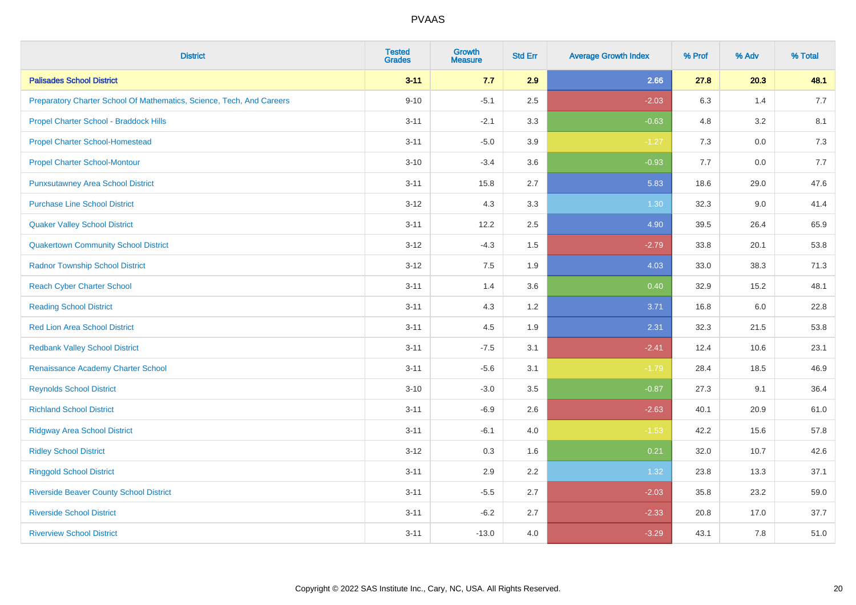| <b>District</b>                                                       | <b>Tested</b><br><b>Grades</b> | <b>Growth</b><br><b>Measure</b> | <b>Std Err</b> | <b>Average Growth Index</b> | % Prof | % Adv | % Total |
|-----------------------------------------------------------------------|--------------------------------|---------------------------------|----------------|-----------------------------|--------|-------|---------|
| <b>Palisades School District</b>                                      | $3 - 11$                       | 7.7                             | 2.9            | 2.66                        | 27.8   | 20.3  | 48.1    |
| Preparatory Charter School Of Mathematics, Science, Tech, And Careers | $9 - 10$                       | $-5.1$                          | 2.5            | $-2.03$                     | 6.3    | 1.4   | 7.7     |
| Propel Charter School - Braddock Hills                                | $3 - 11$                       | $-2.1$                          | 3.3            | $-0.63$                     | 4.8    | 3.2   | 8.1     |
| <b>Propel Charter School-Homestead</b>                                | $3 - 11$                       | $-5.0$                          | 3.9            | $-1.27$                     | $7.3$  | 0.0   | 7.3     |
| <b>Propel Charter School-Montour</b>                                  | $3 - 10$                       | $-3.4$                          | 3.6            | $-0.93$                     | 7.7    | 0.0   | 7.7     |
| <b>Punxsutawney Area School District</b>                              | $3 - 11$                       | 15.8                            | 2.7            | 5.83                        | 18.6   | 29.0  | 47.6    |
| <b>Purchase Line School District</b>                                  | $3 - 12$                       | 4.3                             | 3.3            | 1.30                        | 32.3   | 9.0   | 41.4    |
| <b>Quaker Valley School District</b>                                  | $3 - 11$                       | 12.2                            | 2.5            | 4.90                        | 39.5   | 26.4  | 65.9    |
| <b>Quakertown Community School District</b>                           | $3 - 12$                       | $-4.3$                          | 1.5            | $-2.79$                     | 33.8   | 20.1  | 53.8    |
| <b>Radnor Township School District</b>                                | $3 - 12$                       | 7.5                             | 1.9            | 4.03                        | 33.0   | 38.3  | 71.3    |
| <b>Reach Cyber Charter School</b>                                     | $3 - 11$                       | 1.4                             | 3.6            | 0.40                        | 32.9   | 15.2  | 48.1    |
| <b>Reading School District</b>                                        | $3 - 11$                       | 4.3                             | 1.2            | 3.71                        | 16.8   | 6.0   | 22.8    |
| <b>Red Lion Area School District</b>                                  | $3 - 11$                       | 4.5                             | 1.9            | 2.31                        | 32.3   | 21.5  | 53.8    |
| <b>Redbank Valley School District</b>                                 | $3 - 11$                       | $-7.5$                          | 3.1            | $-2.41$                     | 12.4   | 10.6  | 23.1    |
| Renaissance Academy Charter School                                    | $3 - 11$                       | $-5.6$                          | 3.1            | $-1.79$                     | 28.4   | 18.5  | 46.9    |
| <b>Reynolds School District</b>                                       | $3 - 10$                       | $-3.0$                          | 3.5            | $-0.87$                     | 27.3   | 9.1   | 36.4    |
| <b>Richland School District</b>                                       | $3 - 11$                       | $-6.9$                          | 2.6            | $-2.63$                     | 40.1   | 20.9  | 61.0    |
| <b>Ridgway Area School District</b>                                   | $3 - 11$                       | $-6.1$                          | 4.0            | $-1.53$                     | 42.2   | 15.6  | 57.8    |
| <b>Ridley School District</b>                                         | $3 - 12$                       | 0.3                             | 1.6            | 0.21                        | 32.0   | 10.7  | 42.6    |
| <b>Ringgold School District</b>                                       | $3 - 11$                       | 2.9                             | 2.2            | 1.32                        | 23.8   | 13.3  | 37.1    |
| <b>Riverside Beaver County School District</b>                        | $3 - 11$                       | $-5.5$                          | 2.7            | $-2.03$                     | 35.8   | 23.2  | 59.0    |
| <b>Riverside School District</b>                                      | $3 - 11$                       | $-6.2$                          | 2.7            | $-2.33$                     | 20.8   | 17.0  | 37.7    |
| <b>Riverview School District</b>                                      | $3 - 11$                       | $-13.0$                         | 4.0            | $-3.29$                     | 43.1   | 7.8   | 51.0    |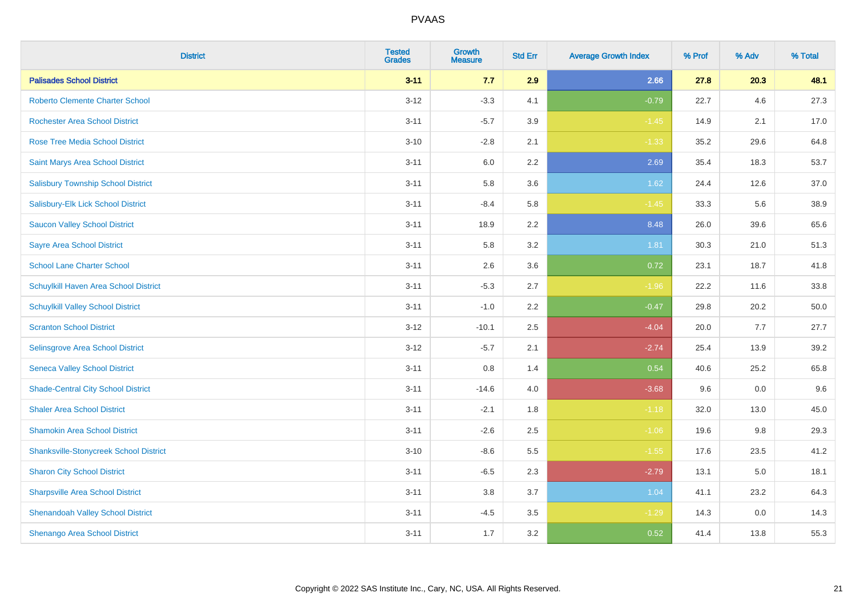| <b>District</b>                               | <b>Tested</b><br><b>Grades</b> | <b>Growth</b><br><b>Measure</b> | <b>Std Err</b> | <b>Average Growth Index</b> | % Prof | % Adv | % Total |
|-----------------------------------------------|--------------------------------|---------------------------------|----------------|-----------------------------|--------|-------|---------|
| <b>Palisades School District</b>              | $3 - 11$                       | 7.7                             | 2.9            | 2.66                        | 27.8   | 20.3  | 48.1    |
| <b>Roberto Clemente Charter School</b>        | $3 - 12$                       | $-3.3$                          | 4.1            | $-0.79$                     | 22.7   | 4.6   | 27.3    |
| <b>Rochester Area School District</b>         | $3 - 11$                       | $-5.7$                          | 3.9            | $-1.45$                     | 14.9   | 2.1   | 17.0    |
| <b>Rose Tree Media School District</b>        | $3 - 10$                       | $-2.8$                          | 2.1            | $-1.33$                     | 35.2   | 29.6  | 64.8    |
| Saint Marys Area School District              | $3 - 11$                       | 6.0                             | 2.2            | 2.69                        | 35.4   | 18.3  | 53.7    |
| <b>Salisbury Township School District</b>     | $3 - 11$                       | 5.8                             | 3.6            | 1.62                        | 24.4   | 12.6  | 37.0    |
| Salisbury-Elk Lick School District            | $3 - 11$                       | $-8.4$                          | 5.8            | $-1.45$                     | 33.3   | 5.6   | 38.9    |
| <b>Saucon Valley School District</b>          | $3 - 11$                       | 18.9                            | 2.2            | 8.48                        | 26.0   | 39.6  | 65.6    |
| <b>Sayre Area School District</b>             | $3 - 11$                       | 5.8                             | 3.2            | 1.81                        | 30.3   | 21.0  | 51.3    |
| <b>School Lane Charter School</b>             | $3 - 11$                       | 2.6                             | 3.6            | 0.72                        | 23.1   | 18.7  | 41.8    |
| Schuylkill Haven Area School District         | $3 - 11$                       | $-5.3$                          | 2.7            | $-1.96$                     | 22.2   | 11.6  | 33.8    |
| <b>Schuylkill Valley School District</b>      | $3 - 11$                       | $-1.0$                          | 2.2            | $-0.47$                     | 29.8   | 20.2  | 50.0    |
| <b>Scranton School District</b>               | $3 - 12$                       | $-10.1$                         | 2.5            | $-4.04$                     | 20.0   | 7.7   | 27.7    |
| Selinsgrove Area School District              | $3 - 12$                       | $-5.7$                          | 2.1            | $-2.74$                     | 25.4   | 13.9  | 39.2    |
| <b>Seneca Valley School District</b>          | $3 - 11$                       | $0.8\,$                         | 1.4            | 0.54                        | 40.6   | 25.2  | 65.8    |
| <b>Shade-Central City School District</b>     | $3 - 11$                       | $-14.6$                         | 4.0            | $-3.68$                     | 9.6    | 0.0   | 9.6     |
| <b>Shaler Area School District</b>            | $3 - 11$                       | $-2.1$                          | 1.8            | $-1.18$                     | 32.0   | 13.0  | 45.0    |
| <b>Shamokin Area School District</b>          | $3 - 11$                       | $-2.6$                          | 2.5            | $-1.06$                     | 19.6   | 9.8   | 29.3    |
| <b>Shanksville-Stonycreek School District</b> | $3 - 10$                       | $-8.6$                          | 5.5            | $-1.55$                     | 17.6   | 23.5  | 41.2    |
| <b>Sharon City School District</b>            | $3 - 11$                       | $-6.5$                          | 2.3            | $-2.79$                     | 13.1   | 5.0   | 18.1    |
| <b>Sharpsville Area School District</b>       | $3 - 11$                       | 3.8                             | 3.7            | 1.04                        | 41.1   | 23.2  | 64.3    |
| <b>Shenandoah Valley School District</b>      | $3 - 11$                       | $-4.5$                          | 3.5            | $-1.29$                     | 14.3   | 0.0   | 14.3    |
| <b>Shenango Area School District</b>          | $3 - 11$                       | 1.7                             | 3.2            | 0.52                        | 41.4   | 13.8  | 55.3    |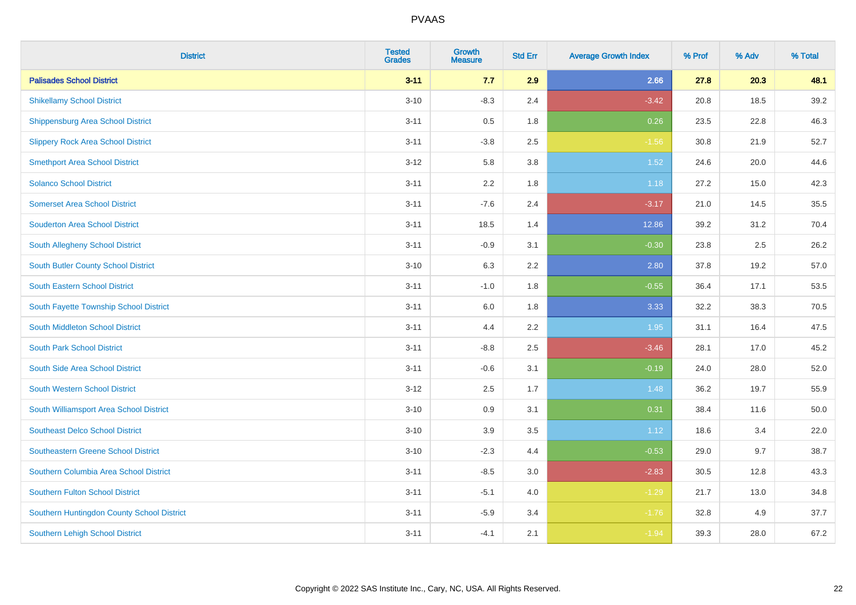| <b>District</b>                            | <b>Tested</b><br><b>Grades</b> | <b>Growth</b><br><b>Measure</b> | <b>Std Err</b> | <b>Average Growth Index</b> | % Prof | % Adv | % Total |
|--------------------------------------------|--------------------------------|---------------------------------|----------------|-----------------------------|--------|-------|---------|
| <b>Palisades School District</b>           | $3 - 11$                       | 7.7                             | 2.9            | 2.66                        | 27.8   | 20.3  | 48.1    |
| <b>Shikellamy School District</b>          | $3 - 10$                       | $-8.3$                          | 2.4            | $-3.42$                     | 20.8   | 18.5  | 39.2    |
| Shippensburg Area School District          | $3 - 11$                       | 0.5                             | 1.8            | 0.26                        | 23.5   | 22.8  | 46.3    |
| <b>Slippery Rock Area School District</b>  | $3 - 11$                       | $-3.8$                          | 2.5            | $-1.56$                     | 30.8   | 21.9  | 52.7    |
| <b>Smethport Area School District</b>      | $3-12$                         | 5.8                             | 3.8            | 1.52                        | 24.6   | 20.0  | 44.6    |
| <b>Solanco School District</b>             | $3 - 11$                       | 2.2                             | 1.8            | 1.18                        | 27.2   | 15.0  | 42.3    |
| <b>Somerset Area School District</b>       | $3 - 11$                       | $-7.6$                          | 2.4            | $-3.17$                     | 21.0   | 14.5  | 35.5    |
| <b>Souderton Area School District</b>      | $3 - 11$                       | 18.5                            | 1.4            | 12.86                       | 39.2   | 31.2  | 70.4    |
| South Allegheny School District            | $3 - 11$                       | $-0.9$                          | 3.1            | $-0.30$                     | 23.8   | 2.5   | 26.2    |
| South Butler County School District        | $3 - 10$                       | 6.3                             | 2.2            | 2.80                        | 37.8   | 19.2  | 57.0    |
| <b>South Eastern School District</b>       | $3 - 11$                       | $-1.0$                          | 1.8            | $-0.55$                     | 36.4   | 17.1  | 53.5    |
| South Fayette Township School District     | $3 - 11$                       | 6.0                             | 1.8            | 3.33                        | 32.2   | 38.3  | 70.5    |
| South Middleton School District            | $3 - 11$                       | 4.4                             | 2.2            | 1.95                        | 31.1   | 16.4  | 47.5    |
| <b>South Park School District</b>          | $3 - 11$                       | $-8.8$                          | 2.5            | $-3.46$                     | 28.1   | 17.0  | 45.2    |
| South Side Area School District            | $3 - 11$                       | $-0.6$                          | 3.1            | $-0.19$                     | 24.0   | 28.0  | 52.0    |
| South Western School District              | $3 - 12$                       | 2.5                             | 1.7            | 1.48                        | 36.2   | 19.7  | 55.9    |
| South Williamsport Area School District    | $3 - 10$                       | 0.9                             | 3.1            | 0.31                        | 38.4   | 11.6  | 50.0    |
| <b>Southeast Delco School District</b>     | $3 - 10$                       | 3.9                             | 3.5            | 1.12                        | 18.6   | 3.4   | 22.0    |
| <b>Southeastern Greene School District</b> | $3 - 10$                       | $-2.3$                          | 4.4            | $-0.53$                     | 29.0   | 9.7   | 38.7    |
| Southern Columbia Area School District     | $3 - 11$                       | $-8.5$                          | 3.0            | $-2.83$                     | 30.5   | 12.8  | 43.3    |
| <b>Southern Fulton School District</b>     | $3 - 11$                       | $-5.1$                          | 4.0            | $-1.29$                     | 21.7   | 13.0  | 34.8    |
| Southern Huntingdon County School District | $3 - 11$                       | $-5.9$                          | 3.4            | $-1.76$                     | 32.8   | 4.9   | 37.7    |
| <b>Southern Lehigh School District</b>     | $3 - 11$                       | $-4.1$                          | 2.1            | $-1.94$                     | 39.3   | 28.0  | 67.2    |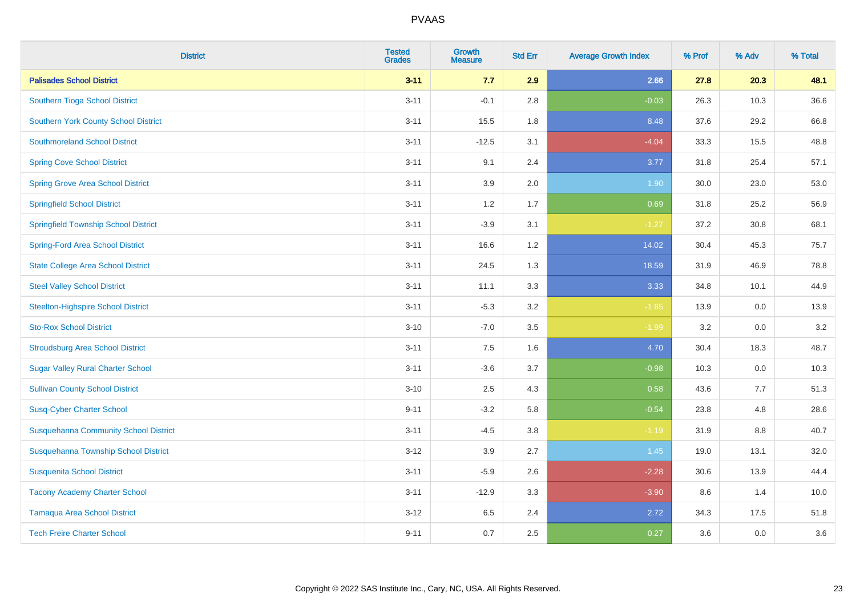| <b>District</b>                              | <b>Tested</b><br><b>Grades</b> | <b>Growth</b><br><b>Measure</b> | <b>Std Err</b> | <b>Average Growth Index</b> | % Prof | % Adv | % Total |
|----------------------------------------------|--------------------------------|---------------------------------|----------------|-----------------------------|--------|-------|---------|
| <b>Palisades School District</b>             | $3 - 11$                       | 7.7                             | 2.9            | 2.66                        | 27.8   | 20.3  | 48.1    |
| Southern Tioga School District               | $3 - 11$                       | $-0.1$                          | 2.8            | $-0.03$                     | 26.3   | 10.3  | 36.6    |
| <b>Southern York County School District</b>  | $3 - 11$                       | 15.5                            | 1.8            | 8.48                        | 37.6   | 29.2  | 66.8    |
| <b>Southmoreland School District</b>         | $3 - 11$                       | $-12.5$                         | 3.1            | $-4.04$                     | 33.3   | 15.5  | 48.8    |
| <b>Spring Cove School District</b>           | $3 - 11$                       | 9.1                             | 2.4            | 3.77                        | 31.8   | 25.4  | 57.1    |
| <b>Spring Grove Area School District</b>     | $3 - 11$                       | 3.9                             | 2.0            | 1.90                        | 30.0   | 23.0  | 53.0    |
| <b>Springfield School District</b>           | $3 - 11$                       | 1.2                             | 1.7            | 0.69                        | 31.8   | 25.2  | 56.9    |
| <b>Springfield Township School District</b>  | $3 - 11$                       | $-3.9$                          | 3.1            | $-1.27$                     | 37.2   | 30.8  | 68.1    |
| <b>Spring-Ford Area School District</b>      | $3 - 11$                       | 16.6                            | 1.2            | 14.02                       | 30.4   | 45.3  | 75.7    |
| <b>State College Area School District</b>    | $3 - 11$                       | 24.5                            | 1.3            | 18.59                       | 31.9   | 46.9  | 78.8    |
| <b>Steel Valley School District</b>          | $3 - 11$                       | 11.1                            | 3.3            | 3.33                        | 34.8   | 10.1  | 44.9    |
| <b>Steelton-Highspire School District</b>    | $3 - 11$                       | $-5.3$                          | 3.2            | $-1.65$                     | 13.9   | 0.0   | 13.9    |
| <b>Sto-Rox School District</b>               | $3 - 10$                       | $-7.0$                          | 3.5            | $-1.99$                     | 3.2    | 0.0   | 3.2     |
| <b>Stroudsburg Area School District</b>      | $3 - 11$                       | $7.5\,$                         | 1.6            | 4.70                        | 30.4   | 18.3  | 48.7    |
| <b>Sugar Valley Rural Charter School</b>     | $3 - 11$                       | $-3.6$                          | 3.7            | $-0.98$                     | 10.3   | 0.0   | 10.3    |
| <b>Sullivan County School District</b>       | $3 - 10$                       | 2.5                             | 4.3            | 0.58                        | 43.6   | 7.7   | 51.3    |
| <b>Susq-Cyber Charter School</b>             | $9 - 11$                       | $-3.2$                          | 5.8            | $-0.54$                     | 23.8   | 4.8   | 28.6    |
| <b>Susquehanna Community School District</b> | $3 - 11$                       | $-4.5$                          | 3.8            | $-1.19$                     | 31.9   | 8.8   | 40.7    |
| Susquehanna Township School District         | $3 - 12$                       | 3.9                             | 2.7            | $1.45$                      | 19.0   | 13.1  | 32.0    |
| <b>Susquenita School District</b>            | $3 - 11$                       | $-5.9$                          | 2.6            | $-2.28$                     | 30.6   | 13.9  | 44.4    |
| <b>Tacony Academy Charter School</b>         | $3 - 11$                       | $-12.9$                         | 3.3            | $-3.90$                     | 8.6    | 1.4   | 10.0    |
| <b>Tamaqua Area School District</b>          | $3 - 12$                       | 6.5                             | 2.4            | 2.72                        | 34.3   | 17.5  | 51.8    |
| <b>Tech Freire Charter School</b>            | $9 - 11$                       | 0.7                             | 2.5            | 0.27                        | 3.6    | 0.0   | 3.6     |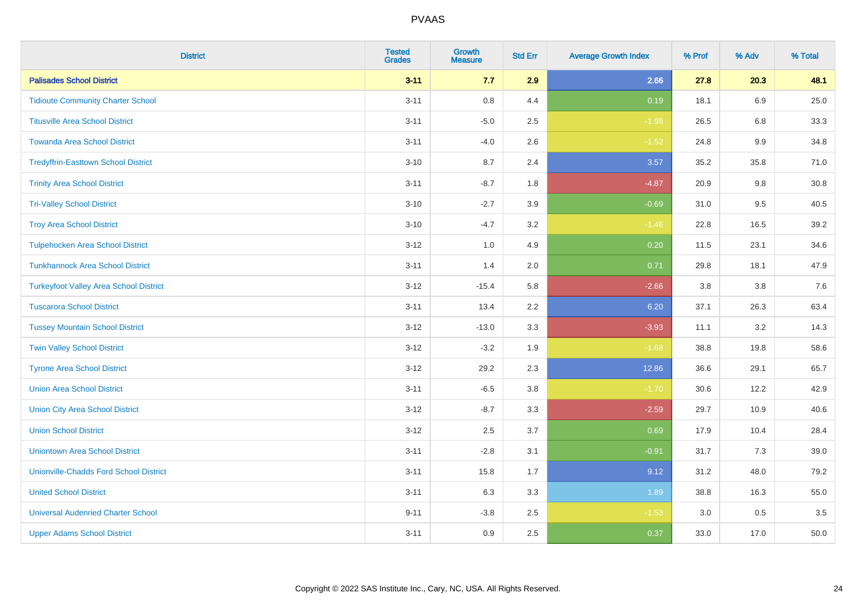| <b>District</b>                               | <b>Tested</b><br><b>Grades</b> | <b>Growth</b><br><b>Measure</b> | <b>Std Err</b> | <b>Average Growth Index</b> | % Prof | % Adv   | % Total |
|-----------------------------------------------|--------------------------------|---------------------------------|----------------|-----------------------------|--------|---------|---------|
| <b>Palisades School District</b>              | $3 - 11$                       | 7.7                             | 2.9            | 2.66                        | 27.8   | 20.3    | 48.1    |
| <b>Tidioute Community Charter School</b>      | $3 - 11$                       | 0.8                             | 4.4            | 0.19                        | 18.1   | 6.9     | 25.0    |
| <b>Titusville Area School District</b>        | $3 - 11$                       | $-5.0$                          | 2.5            | $-1.98$                     | 26.5   | 6.8     | 33.3    |
| <b>Towanda Area School District</b>           | $3 - 11$                       | $-4.0$                          | 2.6            | $-1.52$                     | 24.8   | $9.9\,$ | 34.8    |
| <b>Tredyffrin-Easttown School District</b>    | $3 - 10$                       | 8.7                             | 2.4            | 3.57                        | 35.2   | 35.8    | 71.0    |
| <b>Trinity Area School District</b>           | $3 - 11$                       | $-8.7$                          | 1.8            | $-4.87$                     | 20.9   | 9.8     | 30.8    |
| <b>Tri-Valley School District</b>             | $3 - 10$                       | $-2.7$                          | 3.9            | $-0.69$                     | 31.0   | 9.5     | 40.5    |
| <b>Troy Area School District</b>              | $3 - 10$                       | $-4.7$                          | 3.2            | $-1.46$                     | 22.8   | 16.5    | 39.2    |
| <b>Tulpehocken Area School District</b>       | $3 - 12$                       | 1.0                             | 4.9            | 0.20                        | 11.5   | 23.1    | 34.6    |
| <b>Tunkhannock Area School District</b>       | $3 - 11$                       | 1.4                             | 2.0            | 0.71                        | 29.8   | 18.1    | 47.9    |
| <b>Turkeyfoot Valley Area School District</b> | $3 - 12$                       | $-15.4$                         | 5.8            | $-2.66$                     | 3.8    | 3.8     | 7.6     |
| <b>Tuscarora School District</b>              | $3 - 11$                       | 13.4                            | 2.2            | 6.20                        | 37.1   | 26.3    | 63.4    |
| <b>Tussey Mountain School District</b>        | $3 - 12$                       | $-13.0$                         | 3.3            | $-3.93$                     | 11.1   | $3.2\,$ | 14.3    |
| <b>Twin Valley School District</b>            | $3 - 12$                       | $-3.2$                          | 1.9            | $-1.68$                     | 38.8   | 19.8    | 58.6    |
| <b>Tyrone Area School District</b>            | $3 - 12$                       | 29.2                            | 2.3            | 12.86                       | 36.6   | 29.1    | 65.7    |
| <b>Union Area School District</b>             | $3 - 11$                       | $-6.5$                          | 3.8            | $-1.70$                     | 30.6   | 12.2    | 42.9    |
| <b>Union City Area School District</b>        | $3 - 12$                       | $-8.7$                          | 3.3            | $-2.59$                     | 29.7   | 10.9    | 40.6    |
| <b>Union School District</b>                  | $3 - 12$                       | 2.5                             | 3.7            | 0.69                        | 17.9   | 10.4    | 28.4    |
| <b>Uniontown Area School District</b>         | $3 - 11$                       | $-2.8$                          | 3.1            | $-0.91$                     | 31.7   | 7.3     | 39.0    |
| <b>Unionville-Chadds Ford School District</b> | $3 - 11$                       | 15.8                            | 1.7            | 9.12                        | 31.2   | 48.0    | 79.2    |
| <b>United School District</b>                 | $3 - 11$                       | 6.3                             | 3.3            | 1.89                        | 38.8   | 16.3    | 55.0    |
| <b>Universal Audenried Charter School</b>     | $9 - 11$                       | $-3.8$                          | 2.5            | $-1.53$                     | 3.0    | 0.5     | 3.5     |
| <b>Upper Adams School District</b>            | $3 - 11$                       | 0.9                             | 2.5            | 0.37                        | 33.0   | 17.0    | 50.0    |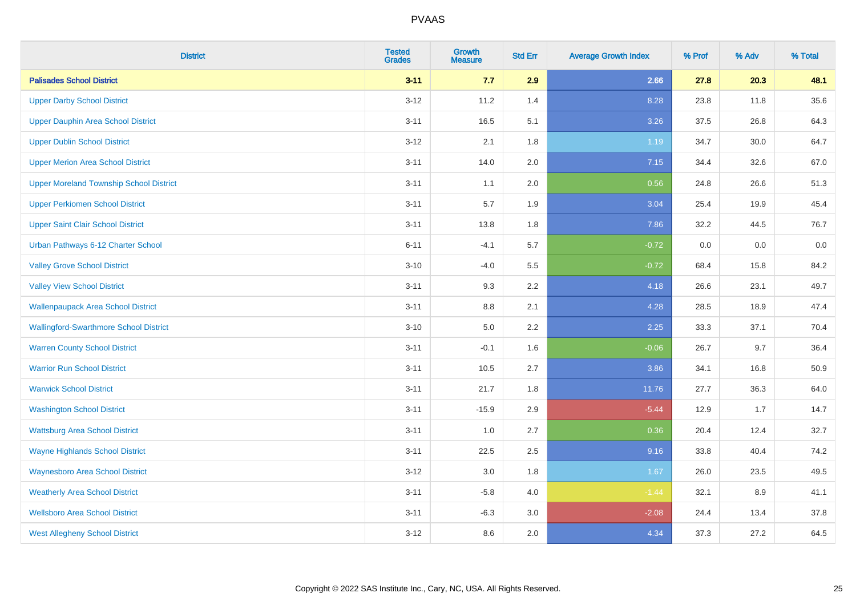| <b>District</b>                                | <b>Tested</b><br><b>Grades</b> | <b>Growth</b><br><b>Measure</b> | <b>Std Err</b> | <b>Average Growth Index</b> | % Prof | % Adv | % Total |
|------------------------------------------------|--------------------------------|---------------------------------|----------------|-----------------------------|--------|-------|---------|
| <b>Palisades School District</b>               | $3 - 11$                       | 7.7                             | 2.9            | 2.66                        | 27.8   | 20.3  | 48.1    |
| <b>Upper Darby School District</b>             | $3 - 12$                       | 11.2                            | 1.4            | 8.28                        | 23.8   | 11.8  | 35.6    |
| <b>Upper Dauphin Area School District</b>      | $3 - 11$                       | 16.5                            | 5.1            | 3.26                        | 37.5   | 26.8  | 64.3    |
| <b>Upper Dublin School District</b>            | $3 - 12$                       | 2.1                             | 1.8            | 1.19                        | 34.7   | 30.0  | 64.7    |
| <b>Upper Merion Area School District</b>       | $3 - 11$                       | 14.0                            | 2.0            | 7.15                        | 34.4   | 32.6  | 67.0    |
| <b>Upper Moreland Township School District</b> | $3 - 11$                       | 1.1                             | 2.0            | 0.56                        | 24.8   | 26.6  | 51.3    |
| <b>Upper Perkiomen School District</b>         | $3 - 11$                       | 5.7                             | 1.9            | 3.04                        | 25.4   | 19.9  | 45.4    |
| <b>Upper Saint Clair School District</b>       | $3 - 11$                       | 13.8                            | 1.8            | 7.86                        | 32.2   | 44.5  | 76.7    |
| Urban Pathways 6-12 Charter School             | $6 - 11$                       | $-4.1$                          | 5.7            | $-0.72$                     | 0.0    | 0.0   | 0.0     |
| <b>Valley Grove School District</b>            | $3 - 10$                       | $-4.0$                          | 5.5            | $-0.72$                     | 68.4   | 15.8  | 84.2    |
| <b>Valley View School District</b>             | $3 - 11$                       | 9.3                             | 2.2            | 4.18                        | 26.6   | 23.1  | 49.7    |
| <b>Wallenpaupack Area School District</b>      | $3 - 11$                       | 8.8                             | 2.1            | 4.28                        | 28.5   | 18.9  | 47.4    |
| <b>Wallingford-Swarthmore School District</b>  | $3 - 10$                       | $5.0\,$                         | 2.2            | 2.25                        | 33.3   | 37.1  | 70.4    |
| <b>Warren County School District</b>           | $3 - 11$                       | $-0.1$                          | 1.6            | $-0.06$                     | 26.7   | 9.7   | 36.4    |
| <b>Warrior Run School District</b>             | $3 - 11$                       | 10.5                            | 2.7            | 3.86                        | 34.1   | 16.8  | 50.9    |
| <b>Warwick School District</b>                 | $3 - 11$                       | 21.7                            | 1.8            | 11.76                       | 27.7   | 36.3  | 64.0    |
| <b>Washington School District</b>              | $3 - 11$                       | $-15.9$                         | 2.9            | $-5.44$                     | 12.9   | 1.7   | 14.7    |
| <b>Wattsburg Area School District</b>          | $3 - 11$                       | 1.0                             | 2.7            | 0.36                        | 20.4   | 12.4  | 32.7    |
| <b>Wayne Highlands School District</b>         | $3 - 11$                       | 22.5                            | 2.5            | 9.16                        | 33.8   | 40.4  | 74.2    |
| <b>Waynesboro Area School District</b>         | $3 - 12$                       | $3.0\,$                         | 1.8            | 1.67                        | 26.0   | 23.5  | 49.5    |
| <b>Weatherly Area School District</b>          | $3 - 11$                       | $-5.8$                          | 4.0            | $-1.44$                     | 32.1   | 8.9   | 41.1    |
| <b>Wellsboro Area School District</b>          | $3 - 11$                       | $-6.3$                          | 3.0            | $-2.08$                     | 24.4   | 13.4  | 37.8    |
| <b>West Allegheny School District</b>          | $3 - 12$                       | 8.6                             | 2.0            | 4.34                        | 37.3   | 27.2  | 64.5    |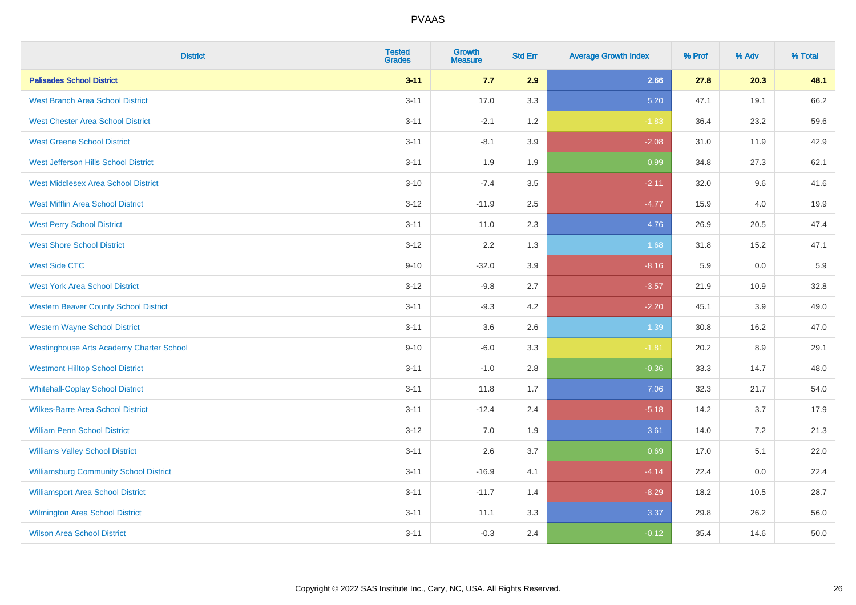| <b>District</b>                                 | <b>Tested</b><br><b>Grades</b> | <b>Growth</b><br><b>Measure</b> | <b>Std Err</b> | <b>Average Growth Index</b> | % Prof | % Adv | % Total |
|-------------------------------------------------|--------------------------------|---------------------------------|----------------|-----------------------------|--------|-------|---------|
| <b>Palisades School District</b>                | $3 - 11$                       | 7.7                             | 2.9            | 2.66                        | 27.8   | 20.3  | 48.1    |
| <b>West Branch Area School District</b>         | $3 - 11$                       | 17.0                            | 3.3            | 5.20                        | 47.1   | 19.1  | 66.2    |
| <b>West Chester Area School District</b>        | $3 - 11$                       | $-2.1$                          | 1.2            | $-1.83$                     | 36.4   | 23.2  | 59.6    |
| <b>West Greene School District</b>              | $3 - 11$                       | $-8.1$                          | 3.9            | $-2.08$                     | 31.0   | 11.9  | 42.9    |
| West Jefferson Hills School District            | $3 - 11$                       | 1.9                             | 1.9            | 0.99                        | 34.8   | 27.3  | 62.1    |
| <b>West Middlesex Area School District</b>      | $3 - 10$                       | $-7.4$                          | 3.5            | $-2.11$                     | 32.0   | 9.6   | 41.6    |
| <b>West Mifflin Area School District</b>        | $3 - 12$                       | $-11.9$                         | 2.5            | $-4.77$                     | 15.9   | 4.0   | 19.9    |
| <b>West Perry School District</b>               | $3 - 11$                       | 11.0                            | 2.3            | 4.76                        | 26.9   | 20.5  | 47.4    |
| <b>West Shore School District</b>               | $3 - 12$                       | 2.2                             | 1.3            | 1.68                        | 31.8   | 15.2  | 47.1    |
| <b>West Side CTC</b>                            | $9 - 10$                       | $-32.0$                         | 3.9            | $-8.16$                     | 5.9    | 0.0   | 5.9     |
| <b>West York Area School District</b>           | $3 - 12$                       | $-9.8$                          | 2.7            | $-3.57$                     | 21.9   | 10.9  | 32.8    |
| <b>Western Beaver County School District</b>    | $3 - 11$                       | $-9.3$                          | 4.2            | $-2.20$                     | 45.1   | 3.9   | 49.0    |
| <b>Western Wayne School District</b>            | $3 - 11$                       | 3.6                             | 2.6            | 1.39                        | 30.8   | 16.2  | 47.0    |
| <b>Westinghouse Arts Academy Charter School</b> | $9 - 10$                       | $-6.0$                          | 3.3            | $-1.81$                     | 20.2   | 8.9   | 29.1    |
| <b>Westmont Hilltop School District</b>         | $3 - 11$                       | $-1.0$                          | 2.8            | $-0.36$                     | 33.3   | 14.7  | 48.0    |
| <b>Whitehall-Coplay School District</b>         | $3 - 11$                       | 11.8                            | 1.7            | 7.06                        | 32.3   | 21.7  | 54.0    |
| <b>Wilkes-Barre Area School District</b>        | $3 - 11$                       | $-12.4$                         | 2.4            | $-5.18$                     | 14.2   | 3.7   | 17.9    |
| <b>William Penn School District</b>             | $3 - 12$                       | 7.0                             | 1.9            | 3.61                        | 14.0   | 7.2   | 21.3    |
| <b>Williams Valley School District</b>          | $3 - 11$                       | 2.6                             | 3.7            | 0.69                        | 17.0   | 5.1   | 22.0    |
| <b>Williamsburg Community School District</b>   | $3 - 11$                       | $-16.9$                         | 4.1            | $-4.14$                     | 22.4   | 0.0   | 22.4    |
| <b>Williamsport Area School District</b>        | $3 - 11$                       | $-11.7$                         | 1.4            | $-8.29$                     | 18.2   | 10.5  | 28.7    |
| Wilmington Area School District                 | $3 - 11$                       | 11.1                            | 3.3            | 3.37                        | 29.8   | 26.2  | 56.0    |
| <b>Wilson Area School District</b>              | $3 - 11$                       | $-0.3$                          | 2.4            | $-0.12$                     | 35.4   | 14.6  | 50.0    |